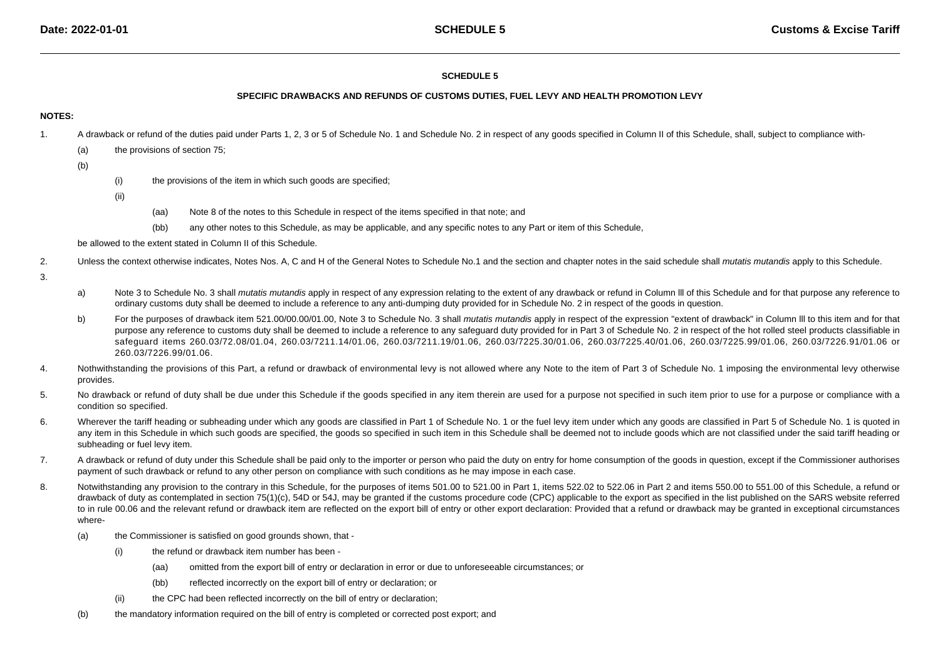### **SCHEDULE 5**

### **SPECIFIC DRAWBACKS AND REFUNDS OF CUSTOMS DUTIES, FUEL LEVY AND HEALTH PROMOTION LEVY**

### **NOTES:**

- 1.A drawback or refund of the duties paid under Parts 1, 2, 3 or 5 of Schedule No. 1 and Schedule No. 2 in respect of any goods specified in Column II of this Schedule, shall, subject to compliance with-
	- (a)the provisions of section 75;
	- (b)
- (i)the provisions of the item in which such goods are specified;
- (ii)
- (aa)Note 8 of the notes to this Schedule in respect of the items specified in that note; and
- (bb)any other notes to this Schedule, as may be applicable, and any specific notes to any Part or item of this Schedule,

be allowed to the extent stated in Column II of this Schedule.

- 2.Unless the context otherwise indicates, Notes Nos. A, C and H of the General Notes to Schedule No.1 and the section and chapter notes in the said schedule shall mutatis mutandis apply to this Schedule.
- 3.
- a)Note 3 to Schedule No. 3 shall mutatis mutandis apply in respect of any expression relating to the extent of any drawback or refund in Column III of this Schedule and for that purpose any reference to ordinary customs duty shall be deemed to include a reference to any anti-dumping duty provided for in Schedule No. 2 in respect of the goods in question.
- b)For the purposes of drawback item 521.00/00.00/01.00, Note 3 to Schedule No. 3 shall mutatis mutandis apply in respect of the expression "extent of drawback" in Column III to this item and for that purpose any reference to customs duty shall be deemed to include a reference to any safeguard duty provided for in Part 3 of Schedule No. 2 in respect of the hot rolled steel products classifiable in safeguard items 260.03/72.08/01.04, 260.03/7211.14/01.06, 260.03/7211.19/01.06, 260.03/7225.30/01.06, 260.03/7225.40/01.06, 260.03/7225.99/01.06, 260.03/7226.91/01.06 or260.03/7226.99/01.06.
- 4.Nothwithstanding the provisions of this Part, a refund or drawback of environmental levy is not allowed where any Note to the item of Part 3 of Schedule No. 1 imposing the environmental levy otherwise provides.
- 5.No drawback or refund of duty shall be due under this Schedule if the goods specified in any item therein are used for a purpose not specified in such item prior to use for a purpose or compliance with a condition so specified.
- 6.Wherever the tariff heading or subheading under which any goods are classified in Part 1 of Schedule No. 1 or the fuel levy item under which any goods are classified in Part 5 of Schedule No. 1 is quoted in any item in this Schedule in which such goods are specified, the goods so specified in such item in this Schedule shall be deemed not to include goods which are not classified under the said tariff heading or subheading or fuel levy item.
- 7.A drawback or refund of duty under this Schedule shall be paid only to the importer or person who paid the duty on entry for home consumption of the goods in question, except if the Commissioner authorises payment of such drawback or refund to any other person on compliance with such conditions as he may impose in each case.
- 8.Notwithstanding any provision to the contrary in this Schedule, for the purposes of items 501.00 to 521.00 in Part 1, items 522.02 to 522.08 in Part 2 and items 550.00 to 551.00 of this Schedule, a refund or drawback of duty as contemplated in section 75(1)(c), 54D or 54J, may be granted if the customs procedure code (CPC) applicable to the export as specified in the list published on the SARS website referred to in rule 00.06 and the relevant refund or drawback item are reflected on the export bill of entry or other export declaration: Provided that a refund or drawback may be granted in exceptional circumstanceswhere-
	- (a) the Commissioner is satisfied on good grounds shown, that -
		- (i) the refund or drawback item number has been -
			- (aa)omitted from the export bill of entry or declaration in error or due to unforeseeable circumstances; or
			- (bb)reflected incorrectly on the export bill of entry or declaration; or
		- (ii)the CPC had been reflected incorrectly on the bill of entry or declaration;
	- (b)the mandatory information required on the bill of entry is completed or corrected post export; and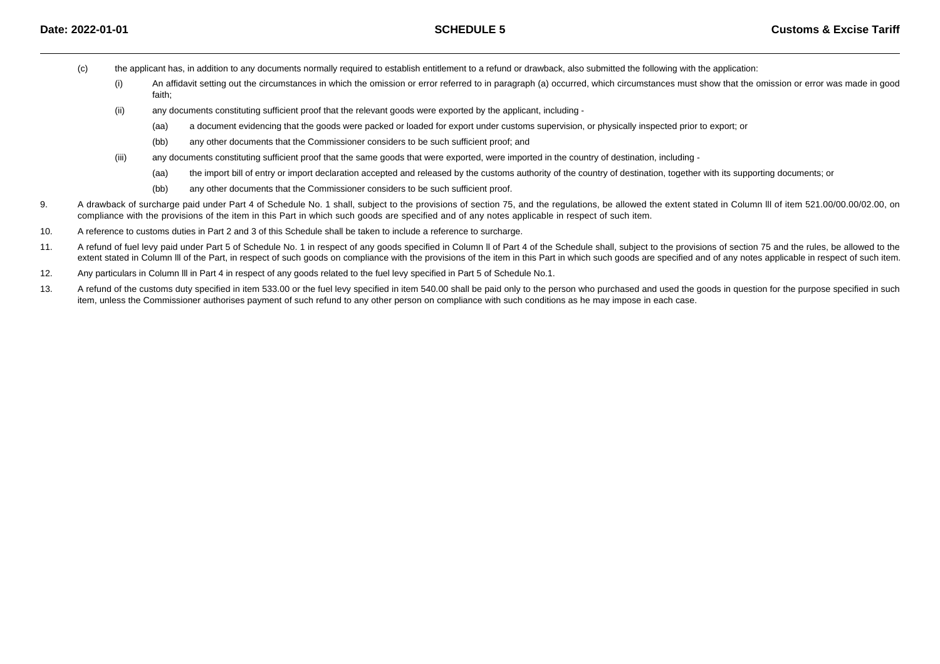- (c) the applicant has, in addition to any documents normally required to establish entitlement to a refund or drawback, also submitted the following with the application:
	- (i) An affidavit setting out the circumstances in which the omission or error referred to in paragraph (a) occurred, which circumstances must show that the omission or error was made in goodfaith;
	- (ii) any documents constituting sufficient proof that the relevant goods were exported by the applicant, including -
		- (aa)a document evidencing that the goods were packed or loaded for export under customs supervision, or physically inspected prior to export; or
		- (bb)any other documents that the Commissioner considers to be such sufficient proof; and
	- (iii) any documents constituting sufficient proof that the same goods that were exported, were imported in the country of destination, including -
		- (aa)the import bill of entry or import declaration accepted and released by the customs authority of the country of destination, together with its supporting documents; or
		- (bb)any other documents that the Commissioner considers to be such sufficient proof.
- 9. A drawback of surcharge paid under Part 4 of Schedule No. 1 shall, subject to the provisions of section 75, and the regulations, be allowed the extent stated in Column lll of item 521.00/00.00/02.00, oncompliance with the provisions of the item in this Part in which such goods are specified and of any notes applicable in respect of such item.
- 10.A reference to customs duties in Part 2 and 3 of this Schedule shall be taken to include a reference to surcharge.
- 11.A refund of fuel levy paid under Part 5 of Schedule No. 1 in respect of any goods specified in Column II of Part 4 of the Schedule shall, subject to the provisions of section 75 and the rules, be allowed to the extent stated in Column III of the Part, in respect of such goods on compliance with the provisions of the item in this Part in which such goods are specified and of any notes applicable in respect of such item.
- 12.Any particulars in Column III in Part 4 in respect of any goods related to the fuel levy specified in Part 5 of Schedule No.1.
- 13.A refund of the customs duty specified in item 533.00 or the fuel levy specified in item 540.00 shall be paid only to the person who purchased and used the goods in question for the purpose specified in such item, unless the Commissioner authorises payment of such refund to any other person on compliance with such conditions as he may impose in each case.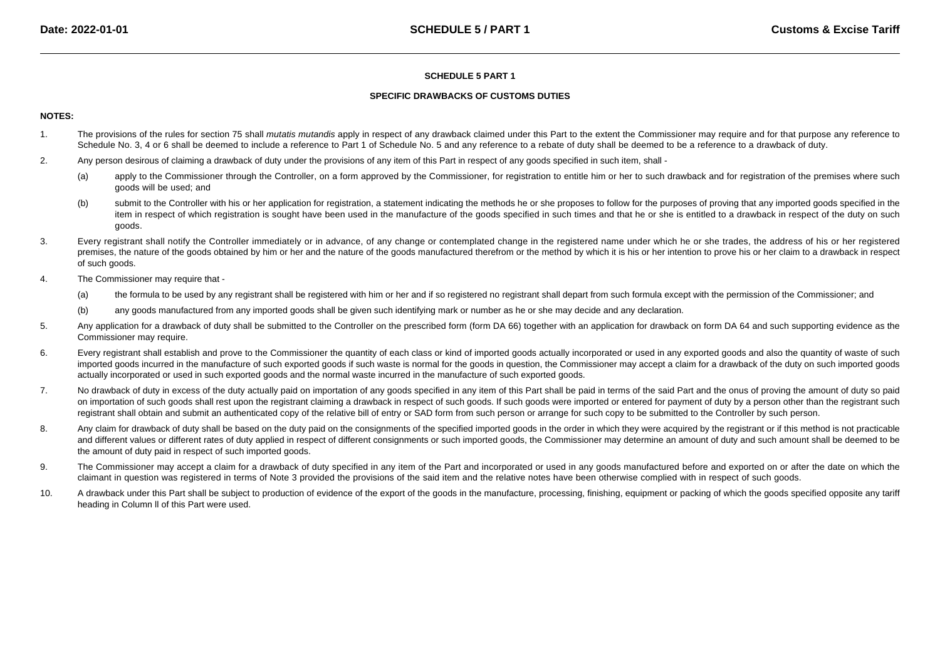### **SPECIFIC DRAWBACKS OF CUSTOMS DUTIES**

## **NOTES:**

- 1.The provisions of the rules for section 75 shall mutatis mutandis apply in respect of any drawback claimed under this Part to the extent the Commissioner may require and for that purpose any reference to Schedule No. 3, 4 or 6 shall be deemed to include a reference to Part 1 of Schedule No. 5 and any reference to a rebate of duty shall be deemed to be a reference to a drawback of duty.
- 2.Any person desirous of claiming a drawback of duty under the provisions of any item of this Part in respect of any goods specified in such item, shall -
	- (a)apply to the Commissioner through the Controller, on a form approved by the Commissioner, for registration to entitle him or her to such drawback and for registration of the premises where such goods will be used; and
	- (b)submit to the Controller with his or her application for registration, a statement indicating the methods he or she proposes to follow for the purposes of proving that any imported goods specified in the item in respect of which registration is sought have been used in the manufacture of the goods specified in such times and that he or she is entitled to a drawback in respect of the duty on such goods.
- 3. Every registrant shall notify the Controller immediately or in advance, of any change or contemplated change in the registered name under which he or she trades, the address of his or her registeredpremises, the nature of the goods obtained by him or her and the nature of the goods manufactured therefrom or the method by which it is his or her intention to prove his or her claim to a drawback in respect of such goods.
- 4. The Commissioner may require that -
	- (a)the formula to be used by any registrant shall be registered with him or her and if so registered no registrant shall depart from such formula except with the permission of the Commissioner; and
	- (b)any goods manufactured from any imported goods shall be given such identifying mark or number as he or she may decide and any declaration.
- 5.Any application for a drawback of duty shall be submitted to the Controller on the prescribed form (form DA 66) together with an application for drawback on form DA 64 and such supporting evidence as the Commissioner may require.
- 6.Every registrant shall establish and prove to the Commissioner the quantity of each class or kind of imported goods actually incorporated or used in any exported goods and also the quantity of waste of such imported goods incurred in the manufacture of such exported goods if such waste is normal for the goods in question, the Commissioner may accept a claim for a drawback of the duty on such imported goods actually incorporated or used in such exported goods and the normal waste incurred in the manufacture of such exported goods.
- 7.No drawback of duty in excess of the duty actually paid on importation of any goods specified in any item of this Part shall be paid in terms of the said Part and the onus of proving the amount of duty so paid on importation of such goods shall rest upon the registrant claiming a drawback in respect of such goods. If such goods were imported or entered for payment of duty by a person other than the registrant such registrant shall obtain and submit an authenticated copy of the relative bill of entry or SAD form from such person or arrange for such copy to be submitted to the Controller by such person.
- 8.Any claim for drawback of duty shall be based on the duty paid on the consignments of the specified imported goods in the order in which they were acquired by the registrant or if this method is not practicable and different values or different rates of duty applied in respect of different consignments or such imported goods, the Commissioner may determine an amount of duty and such amount shall be deemed to bethe amount of duty paid in respect of such imported goods.
- 9.The Commissioner may accept a claim for a drawback of duty specified in any item of the Part and incorporated or used in any goods manufactured before and exported on or after the date on which the claimant in question was registered in terms of Note 3 provided the provisions of the said item and the relative notes have been otherwise complied with in respect of such goods.
- 10. A drawback under this Part shall be subject to production of evidence of the export of the goods in the manufacture, processing, finishing, equipment or packing of which the goods specified opposite any tariff heading in Column ll of this Part were used.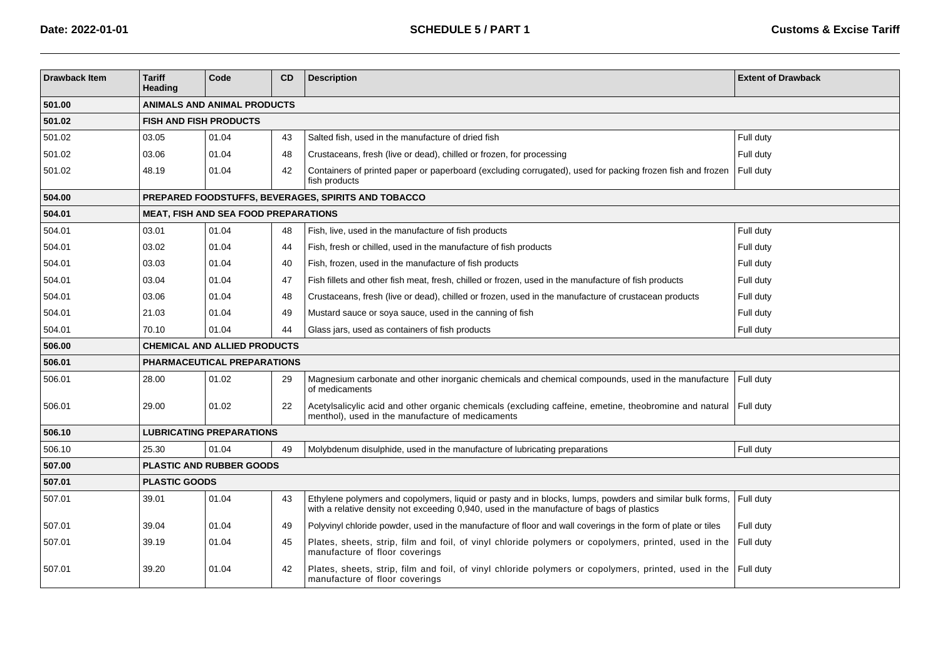| <b>Drawback Item</b> | <b>Tariff</b><br>Heading           | Code                                        | <b>CD</b> | <b>Description</b>                                                                                                                                                                                  | <b>Extent of Drawback</b> |  |  |  |  |
|----------------------|------------------------------------|---------------------------------------------|-----------|-----------------------------------------------------------------------------------------------------------------------------------------------------------------------------------------------------|---------------------------|--|--|--|--|
| 501.00               | <b>ANIMALS AND ANIMAL PRODUCTS</b> |                                             |           |                                                                                                                                                                                                     |                           |  |  |  |  |
| 501.02               |                                    | <b>FISH AND FISH PRODUCTS</b>               |           |                                                                                                                                                                                                     |                           |  |  |  |  |
| 501.02               | 03.05                              | 01.04                                       | 43        | Salted fish, used in the manufacture of dried fish                                                                                                                                                  | Full duty                 |  |  |  |  |
| 501.02               | 03.06                              | 01.04                                       | 48        | Crustaceans, fresh (live or dead), chilled or frozen, for processing                                                                                                                                | Full duty                 |  |  |  |  |
| 501.02               | 48.19                              | 01.04                                       | 42        | Containers of printed paper or paperboard (excluding corrugated), used for packing frozen fish and frozen<br>fish products                                                                          | Full duty                 |  |  |  |  |
| 504.00               |                                    |                                             |           | <b>PREPARED FOODSTUFFS, BEVERAGES, SPIRITS AND TOBACCO</b>                                                                                                                                          |                           |  |  |  |  |
| 504.01               |                                    | <b>MEAT, FISH AND SEA FOOD PREPARATIONS</b> |           |                                                                                                                                                                                                     |                           |  |  |  |  |
| 504.01               | 03.01                              | 01.04                                       | 48        | Fish, live, used in the manufacture of fish products                                                                                                                                                | Full duty                 |  |  |  |  |
| 504.01               | 03.02                              | 01.04                                       | 44        | Fish, fresh or chilled, used in the manufacture of fish products                                                                                                                                    | Full duty                 |  |  |  |  |
| 504.01               | 03.03                              | 01.04                                       | 40        | Fish, frozen, used in the manufacture of fish products                                                                                                                                              | Full duty                 |  |  |  |  |
| 504.01               | 03.04                              | 01.04                                       | 47        | Fish fillets and other fish meat, fresh, chilled or frozen, used in the manufacture of fish products                                                                                                | Full duty                 |  |  |  |  |
| 504.01               | 03.06                              | 01.04                                       | 48        | Crustaceans, fresh (live or dead), chilled or frozen, used in the manufacture of crustacean products                                                                                                | Full duty                 |  |  |  |  |
| 504.01               | 21.03                              | 01.04                                       | 49        | Mustard sauce or soya sauce, used in the canning of fish                                                                                                                                            | Full duty                 |  |  |  |  |
| 504.01               | 70.10                              | 01.04                                       | 44        | Glass jars, used as containers of fish products                                                                                                                                                     | Full duty                 |  |  |  |  |
| 506.00               |                                    | <b>CHEMICAL AND ALLIED PRODUCTS</b>         |           |                                                                                                                                                                                                     |                           |  |  |  |  |
| 506.01               |                                    | <b>PHARMACEUTICAL PREPARATIONS</b>          |           |                                                                                                                                                                                                     |                           |  |  |  |  |
| 506.01               | 28.00                              | 01.02                                       | 29        | Magnesium carbonate and other inorganic chemicals and chemical compounds, used in the manufacture<br>of medicaments                                                                                 | Full duty                 |  |  |  |  |
| 506.01               | 29.00                              | 01.02                                       | 22        | Acetylsalicylic acid and other organic chemicals (excluding caffeine, emetine, theobromine and natural<br>menthol), used in the manufacture of medicaments                                          | Full duty                 |  |  |  |  |
| 506.10               |                                    | <b>LUBRICATING PREPARATIONS</b>             |           |                                                                                                                                                                                                     |                           |  |  |  |  |
| 506.10               | 25.30                              | 01.04                                       | 49        | Molybdenum disulphide, used in the manufacture of lubricating preparations                                                                                                                          | Full duty                 |  |  |  |  |
| 507.00               |                                    | <b>PLASTIC AND RUBBER GOODS</b>             |           |                                                                                                                                                                                                     |                           |  |  |  |  |
| 507.01               | <b>PLASTIC GOODS</b>               |                                             |           |                                                                                                                                                                                                     |                           |  |  |  |  |
| 507.01               | 39.01                              | 01.04                                       | 43        | Ethylene polymers and copolymers, liquid or pasty and in blocks, lumps, powders and similar bulk forms,<br>with a relative density not exceeding 0,940, used in the manufacture of bags of plastics | Full duty                 |  |  |  |  |
| 507.01               | 39.04                              | 01.04                                       | 49        | Polyvinyl chloride powder, used in the manufacture of floor and wall coverings in the form of plate or tiles                                                                                        | Full duty                 |  |  |  |  |
| 507.01               | 39.19                              | 01.04                                       | 45        | Plates, sheets, strip, film and foil, of vinyl chloride polymers or copolymers, printed, used in the<br>manufacture of floor coverings                                                              | Full duty                 |  |  |  |  |
| 507.01               | 39.20                              | 01.04                                       | 42        | Plates, sheets, strip, film and foil, of vinyl chloride polymers or copolymers, printed, used in the<br>manufacture of floor coverings                                                              | Full duty                 |  |  |  |  |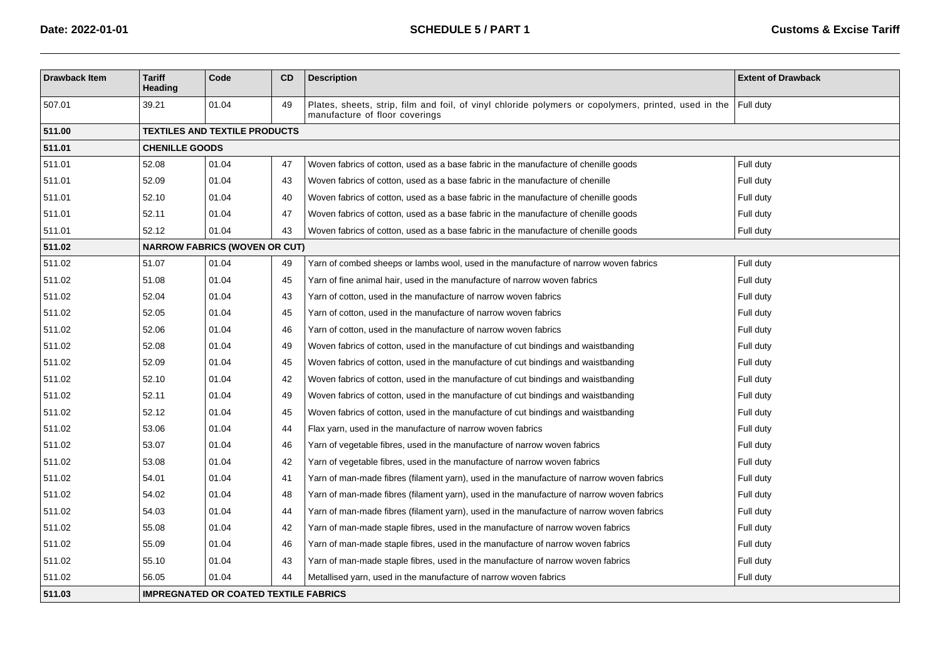| <b>Drawback Item</b> | <b>Tariff</b><br>Heading                     | Code                                 | <b>CD</b> | <b>Description</b>                                                                                                                               | <b>Extent of Drawback</b> |  |  |  |  |  |  |
|----------------------|----------------------------------------------|--------------------------------------|-----------|--------------------------------------------------------------------------------------------------------------------------------------------------|---------------------------|--|--|--|--|--|--|
| 507.01               | 39.21                                        | 01.04                                | 49        | Plates, sheets, strip, film and foil, of vinyl chloride polymers or copolymers, printed, used in the Full duty<br>manufacture of floor coverings |                           |  |  |  |  |  |  |
| 511.00               |                                              | <b>TEXTILES AND TEXTILE PRODUCTS</b> |           |                                                                                                                                                  |                           |  |  |  |  |  |  |
| 511.01               | <b>CHENILLE GOODS</b>                        |                                      |           |                                                                                                                                                  |                           |  |  |  |  |  |  |
| 511.01               | 52.08                                        | 01.04                                | 47        | Woven fabrics of cotton, used as a base fabric in the manufacture of chenille goods                                                              | Full duty                 |  |  |  |  |  |  |
| 511.01               | 52.09                                        | 01.04                                | 43        | Woven fabrics of cotton, used as a base fabric in the manufacture of chenille                                                                    | Full duty                 |  |  |  |  |  |  |
| 511.01               | 52.10                                        | 01.04                                | 40        | Woven fabrics of cotton, used as a base fabric in the manufacture of chenille goods                                                              | Full duty                 |  |  |  |  |  |  |
| 511.01               | 52.11                                        | 01.04                                | 47        | Woven fabrics of cotton, used as a base fabric in the manufacture of chenille goods                                                              | Full duty                 |  |  |  |  |  |  |
| 511.01               | 52.12                                        | 01.04                                | 43        | Woven fabrics of cotton, used as a base fabric in the manufacture of chenille goods                                                              | Full duty                 |  |  |  |  |  |  |
| 511.02               |                                              | <b>NARROW FABRICS (WOVEN OR CUT)</b> |           |                                                                                                                                                  |                           |  |  |  |  |  |  |
| 511.02               | 51.07                                        | 01.04                                | 49        | Yarn of combed sheeps or lambs wool, used in the manufacture of narrow woven fabrics                                                             | Full duty                 |  |  |  |  |  |  |
| 511.02               | 51.08                                        | 01.04                                | 45        | Yarn of fine animal hair, used in the manufacture of narrow woven fabrics                                                                        | Full duty                 |  |  |  |  |  |  |
| 511.02               | 52.04                                        | 01.04                                | 43        | Yarn of cotton, used in the manufacture of narrow woven fabrics                                                                                  | Full duty                 |  |  |  |  |  |  |
| 511.02               | 52.05                                        | 01.04                                | 45        | Yarn of cotton, used in the manufacture of narrow woven fabrics                                                                                  | Full duty                 |  |  |  |  |  |  |
| 511.02               | 52.06                                        | 01.04                                | 46        | Yarn of cotton, used in the manufacture of narrow woven fabrics                                                                                  | Full duty                 |  |  |  |  |  |  |
| 511.02               | 52.08                                        | 01.04                                | 49        | Woven fabrics of cotton, used in the manufacture of cut bindings and waistbanding                                                                | Full duty                 |  |  |  |  |  |  |
| 511.02               | 52.09                                        | 01.04                                | 45        | Woven fabrics of cotton, used in the manufacture of cut bindings and waistbanding                                                                | Full duty                 |  |  |  |  |  |  |
| 511.02               | 52.10                                        | 01.04                                | 42        | Woven fabrics of cotton, used in the manufacture of cut bindings and waistbanding                                                                | Full duty                 |  |  |  |  |  |  |
| 511.02               | 52.11                                        | 01.04                                | 49        | Woven fabrics of cotton, used in the manufacture of cut bindings and waistbanding                                                                | Full duty                 |  |  |  |  |  |  |
| 511.02               | 52.12                                        | 01.04                                | 45        | Woven fabrics of cotton, used in the manufacture of cut bindings and waistbanding                                                                | Full duty                 |  |  |  |  |  |  |
| 511.02               | 53.06                                        | 01.04                                | 44        | Flax yarn, used in the manufacture of narrow woven fabrics                                                                                       | Full duty                 |  |  |  |  |  |  |
| 511.02               | 53.07                                        | 01.04                                | 46        | Yarn of vegetable fibres, used in the manufacture of narrow woven fabrics                                                                        | Full duty                 |  |  |  |  |  |  |
| 511.02               | 53.08                                        | 01.04                                | 42        | Yarn of vegetable fibres, used in the manufacture of narrow woven fabrics                                                                        | Full duty                 |  |  |  |  |  |  |
| 511.02               | 54.01                                        | 01.04                                | 41        | Yarn of man-made fibres (filament yarn), used in the manufacture of narrow woven fabrics                                                         | Full duty                 |  |  |  |  |  |  |
| 511.02               | 54.02                                        | 01.04                                | 48        | Yarn of man-made fibres (filament yarn), used in the manufacture of narrow woven fabrics                                                         | Full duty                 |  |  |  |  |  |  |
| 511.02               | 54.03                                        | 01.04                                | 44        | Yarn of man-made fibres (filament yarn), used in the manufacture of narrow woven fabrics                                                         | Full duty                 |  |  |  |  |  |  |
| 511.02               | 55.08                                        | 01.04                                | 42        | Yarn of man-made staple fibres, used in the manufacture of narrow woven fabrics                                                                  | Full duty                 |  |  |  |  |  |  |
| 511.02               | 55.09                                        | 01.04                                | 46        | Yarn of man-made staple fibres, used in the manufacture of narrow woven fabrics                                                                  | Full duty                 |  |  |  |  |  |  |
| 511.02               | 55.10                                        | 01.04                                | 43        | Yarn of man-made staple fibres, used in the manufacture of narrow woven fabrics                                                                  | Full duty                 |  |  |  |  |  |  |
| 511.02               | 56.05                                        | 01.04                                | 44        | Metallised yarn, used in the manufacture of narrow woven fabrics                                                                                 | Full duty                 |  |  |  |  |  |  |
| 511.03               | <b>IMPREGNATED OR COATED TEXTILE FABRICS</b> |                                      |           |                                                                                                                                                  |                           |  |  |  |  |  |  |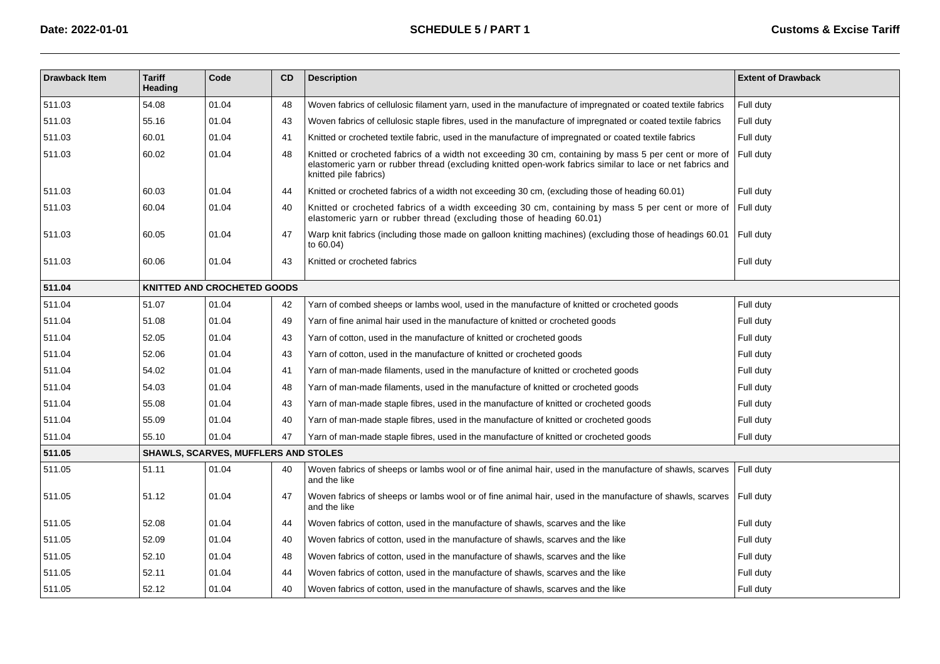| <b>Drawback Item</b> | <b>Tariff</b><br><b>Heading</b>    | Code                                 | <b>CD</b> | <b>Description</b>                                                                                                                                                                                                                          | <b>Extent of Drawback</b> |  |  |  |
|----------------------|------------------------------------|--------------------------------------|-----------|---------------------------------------------------------------------------------------------------------------------------------------------------------------------------------------------------------------------------------------------|---------------------------|--|--|--|
| 511.03               | 54.08                              | 01.04                                | 48        | Woven fabrics of cellulosic filament yarn, used in the manufacture of impregnated or coated textile fabrics                                                                                                                                 | Full duty                 |  |  |  |
| 511.03               | 55.16                              | 01.04                                | 43        | Woven fabrics of cellulosic staple fibres, used in the manufacture of impregnated or coated textile fabrics                                                                                                                                 | Full duty                 |  |  |  |
| 511.03               | 60.01                              | 01.04                                | 41        | Knitted or crocheted textile fabric, used in the manufacture of impregnated or coated textile fabrics                                                                                                                                       | Full duty                 |  |  |  |
| 511.03               | 60.02                              | 01.04                                | 48        | Knitted or crocheted fabrics of a width not exceeding 30 cm, containing by mass 5 per cent or more of<br>elastomeric yarn or rubber thread (excluding knitted open-work fabrics similar to lace or net fabrics and<br>knitted pile fabrics) | Full duty                 |  |  |  |
| 511.03               | 60.03                              | 01.04                                | 44        | Knitted or crocheted fabrics of a width not exceeding 30 cm, (excluding those of heading 60.01)                                                                                                                                             | Full duty                 |  |  |  |
| 511.03               | 60.04                              | 01.04                                | 40        | Knitted or crocheted fabrics of a width exceeding 30 cm, containing by mass 5 per cent or more of<br>elastomeric yarn or rubber thread (excluding those of heading 60.01)                                                                   | Full duty                 |  |  |  |
| 511.03               | 60.05                              | 01.04                                | 47        | Warp knit fabrics (including those made on galloon knitting machines) (excluding those of headings 60.01<br>to $60.04$ )                                                                                                                    | Full duty                 |  |  |  |
| 511.03               | 60.06                              | 01.04                                | 43        | Knitted or crocheted fabrics                                                                                                                                                                                                                | Full duty                 |  |  |  |
| 511.04               | <b>KNITTED AND CROCHETED GOODS</b> |                                      |           |                                                                                                                                                                                                                                             |                           |  |  |  |
| 511.04               | 51.07                              | 01.04                                | 42        | Yarn of combed sheeps or lambs wool, used in the manufacture of knitted or crocheted goods                                                                                                                                                  | Full duty                 |  |  |  |
| 511.04               | 51.08                              | 01.04                                | 49        | Yarn of fine animal hair used in the manufacture of knitted or crocheted goods                                                                                                                                                              | Full duty                 |  |  |  |
| 511.04               | 52.05                              | 01.04                                | 43        | Yarn of cotton, used in the manufacture of knitted or crocheted goods                                                                                                                                                                       | Full duty                 |  |  |  |
| 511.04               | 52.06                              | 01.04                                | 43        | Yarn of cotton, used in the manufacture of knitted or crocheted goods                                                                                                                                                                       | Full duty                 |  |  |  |
| 511.04               | 54.02                              | 01.04                                | 41        | Yarn of man-made filaments, used in the manufacture of knitted or crocheted goods                                                                                                                                                           | Full duty                 |  |  |  |
| 511.04               | 54.03                              | 01.04                                | 48        | Yarn of man-made filaments, used in the manufacture of knitted or crocheted goods                                                                                                                                                           | Full duty                 |  |  |  |
| 511.04               | 55.08                              | 01.04                                | 43        | Yarn of man-made staple fibres, used in the manufacture of knitted or crocheted goods                                                                                                                                                       | Full duty                 |  |  |  |
| 511.04               | 55.09                              | 01.04                                | 40        | Yarn of man-made staple fibres, used in the manufacture of knitted or crocheted goods                                                                                                                                                       | Full duty                 |  |  |  |
| 511.04               | 55.10                              | 01.04                                | 47        | Yarn of man-made staple fibres, used in the manufacture of knitted or crocheted goods                                                                                                                                                       | Full duty                 |  |  |  |
| 511.05               |                                    | SHAWLS, SCARVES, MUFFLERS AND STOLES |           |                                                                                                                                                                                                                                             |                           |  |  |  |
| 511.05               | 51.11                              | 01.04                                | 40        | Woven fabrics of sheeps or lambs wool or of fine animal hair, used in the manufacture of shawls, scarves<br>and the like                                                                                                                    | Full duty                 |  |  |  |
| 511.05               | 51.12                              | 01.04                                | 47        | Woven fabrics of sheeps or lambs wool or of fine animal hair, used in the manufacture of shawls, scarves<br>and the like                                                                                                                    | Full duty                 |  |  |  |
| 511.05               | 52.08                              | 01.04                                | 44        | Woven fabrics of cotton, used in the manufacture of shawls, scarves and the like                                                                                                                                                            | Full duty                 |  |  |  |
| 511.05               | 52.09                              | 01.04                                | 40        | Woven fabrics of cotton, used in the manufacture of shawls, scarves and the like                                                                                                                                                            | Full duty                 |  |  |  |
| 511.05               | 52.10                              | 01.04                                | 48        | Woven fabrics of cotton, used in the manufacture of shawls, scarves and the like                                                                                                                                                            | Full duty                 |  |  |  |
| 511.05               | 52.11                              | 01.04                                | 44        | Woven fabrics of cotton, used in the manufacture of shawls, scarves and the like                                                                                                                                                            | Full duty                 |  |  |  |
| 511.05               | 52.12                              | 01.04                                | 40        | Woven fabrics of cotton, used in the manufacture of shawls, scarves and the like                                                                                                                                                            | Full duty                 |  |  |  |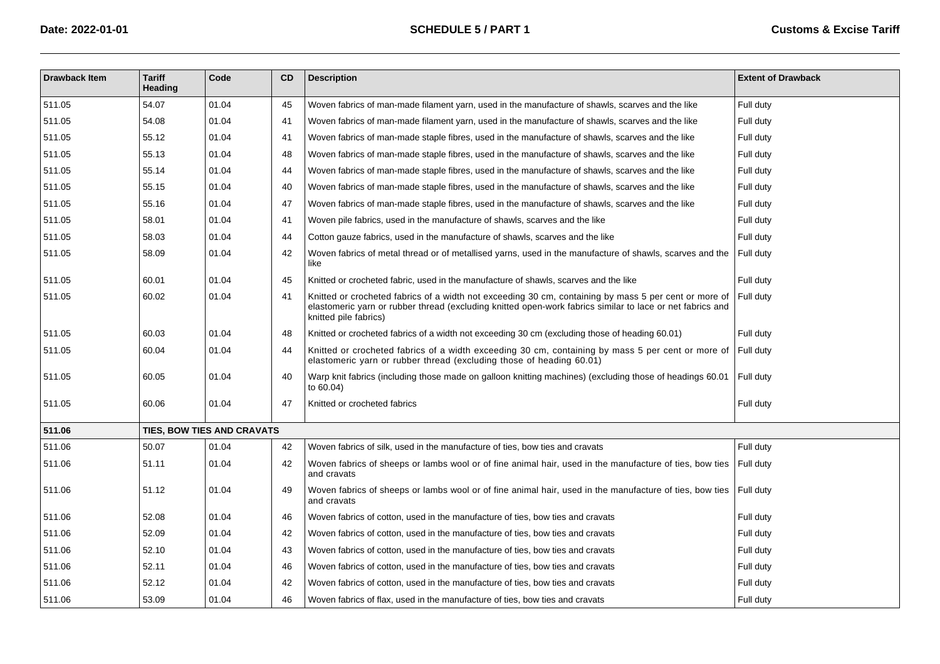| <b>Drawback Item</b> | <b>Tariff</b><br><b>Heading</b> | Code                       | CD | <b>Description</b>                                                                                                                                                                                                                          | <b>Extent of Drawback</b> |
|----------------------|---------------------------------|----------------------------|----|---------------------------------------------------------------------------------------------------------------------------------------------------------------------------------------------------------------------------------------------|---------------------------|
| 511.05               | 54.07                           | 01.04                      | 45 | Woven fabrics of man-made filament yarn, used in the manufacture of shawls, scarves and the like                                                                                                                                            | Full duty                 |
| 511.05               | 54.08                           | 01.04                      | 41 | Woven fabrics of man-made filament yarn, used in the manufacture of shawls, scarves and the like                                                                                                                                            | Full duty                 |
| 511.05               | 55.12                           | 01.04                      | 41 | Woven fabrics of man-made staple fibres, used in the manufacture of shawls, scarves and the like                                                                                                                                            | Full duty                 |
| 511.05               | 55.13                           | 01.04                      | 48 | Woven fabrics of man-made staple fibres, used in the manufacture of shawls, scarves and the like                                                                                                                                            | Full duty                 |
| 511.05               | 55.14                           | 01.04                      | 44 | Woven fabrics of man-made staple fibres, used in the manufacture of shawls, scarves and the like                                                                                                                                            | Full duty                 |
| 511.05               | 55.15                           | 01.04                      | 40 | Woven fabrics of man-made staple fibres, used in the manufacture of shawls, scarves and the like                                                                                                                                            | Full duty                 |
| 511.05               | 55.16                           | 01.04                      | 47 | Woven fabrics of man-made staple fibres, used in the manufacture of shawls, scarves and the like                                                                                                                                            | Full duty                 |
| 511.05               | 58.01                           | 01.04                      | 41 | Woven pile fabrics, used in the manufacture of shawls, scarves and the like                                                                                                                                                                 | Full duty                 |
| 511.05               | 58.03                           | 01.04                      | 44 | Cotton gauze fabrics, used in the manufacture of shawls, scarves and the like                                                                                                                                                               | Full duty                 |
| 511.05               | 58.09                           | 01.04                      | 42 | Woven fabrics of metal thread or of metallised yarns, used in the manufacture of shawls, scarves and the<br>like                                                                                                                            | Full duty                 |
| 511.05               | 60.01                           | 01.04                      | 45 | Knitted or crocheted fabric, used in the manufacture of shawls, scarves and the like                                                                                                                                                        | Full duty                 |
| 511.05               | 60.02                           | 01.04                      | 41 | Knitted or crocheted fabrics of a width not exceeding 30 cm, containing by mass 5 per cent or more of<br>elastomeric yarn or rubber thread (excluding knitted open-work fabrics similar to lace or net fabrics and<br>knitted pile fabrics) | Full duty                 |
| 511.05               | 60.03                           | 01.04                      | 48 | Knitted or crocheted fabrics of a width not exceeding 30 cm (excluding those of heading 60.01)                                                                                                                                              | Full duty                 |
| 511.05               | 60.04                           | 01.04                      | 44 | Knitted or crocheted fabrics of a width exceeding 30 cm, containing by mass 5 per cent or more of<br>elastomeric yarn or rubber thread (excluding those of heading 60.01)                                                                   | Full duty                 |
| 511.05               | 60.05                           | 01.04                      | 40 | Warp knit fabrics (including those made on galloon knitting machines) (excluding those of headings 60.01<br>to 60.04)                                                                                                                       | Full duty                 |
| 511.05               | 60.06                           | 01.04                      | 47 | Knitted or crocheted fabrics                                                                                                                                                                                                                | Full duty                 |
| 511.06               |                                 | TIES, BOW TIES AND CRAVATS |    |                                                                                                                                                                                                                                             |                           |
| 511.06               | 50.07                           | 01.04                      | 42 | Woven fabrics of silk, used in the manufacture of ties, bow ties and cravats                                                                                                                                                                | Full duty                 |
| 511.06               | 51.11                           | 01.04                      | 42 | Woven fabrics of sheeps or lambs wool or of fine animal hair, used in the manufacture of ties, bow ties<br>and cravats                                                                                                                      | Full duty                 |
| 511.06               | 51.12                           | 01.04                      | 49 | Woven fabrics of sheeps or lambs wool or of fine animal hair, used in the manufacture of ties, bow ties<br>and cravats                                                                                                                      | Full duty                 |
| 511.06               | 52.08                           | 01.04                      | 46 | Woven fabrics of cotton, used in the manufacture of ties, bow ties and cravats                                                                                                                                                              | Full duty                 |
| 511.06               | 52.09                           | 01.04                      | 42 | Woven fabrics of cotton, used in the manufacture of ties, bow ties and cravats                                                                                                                                                              | Full duty                 |
| 511.06               | 52.10                           | 01.04                      | 43 | Woven fabrics of cotton, used in the manufacture of ties, bow ties and cravats                                                                                                                                                              | Full duty                 |
| 511.06               | 52.11                           | 01.04                      | 46 | Woven fabrics of cotton, used in the manufacture of ties, bow ties and cravats                                                                                                                                                              | Full duty                 |
| 511.06               | 52.12                           | 01.04                      | 42 | Woven fabrics of cotton, used in the manufacture of ties, bow ties and cravats                                                                                                                                                              | Full duty                 |
| 511.06               | 53.09                           | 01.04                      | 46 | Woven fabrics of flax, used in the manufacture of ties, bow ties and cravats                                                                                                                                                                | Full duty                 |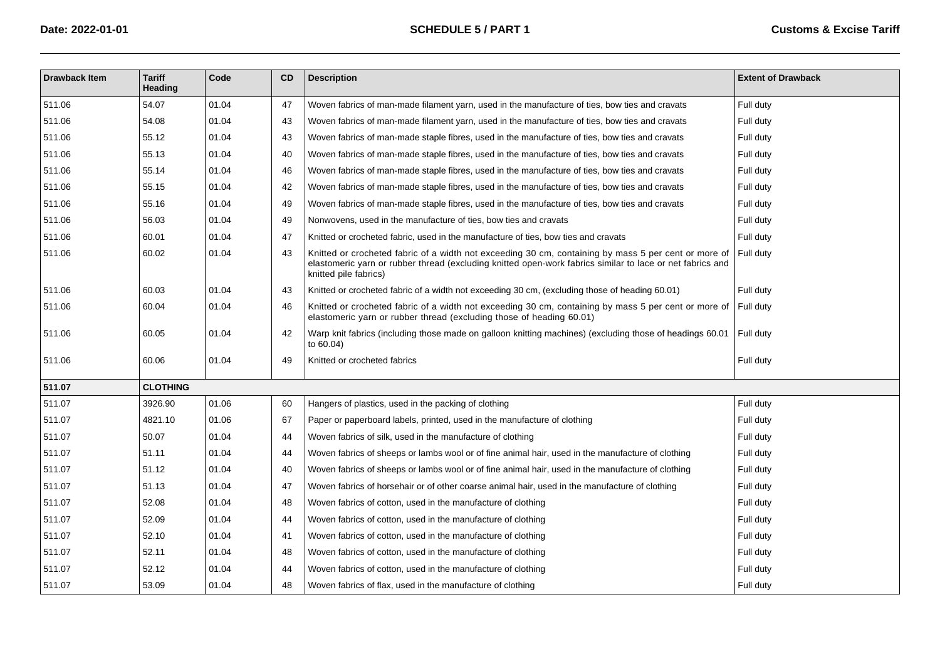| <b>Drawback Item</b> | <b>Tariff</b><br><b>Heading</b> | Code  | CD | <b>Description</b>                                                                                                                                                                                                                         | <b>Extent of Drawback</b> |
|----------------------|---------------------------------|-------|----|--------------------------------------------------------------------------------------------------------------------------------------------------------------------------------------------------------------------------------------------|---------------------------|
| 511.06               | 54.07                           | 01.04 | 47 | Woven fabrics of man-made filament yarn, used in the manufacture of ties, bow ties and cravats                                                                                                                                             | Full duty                 |
| 511.06               | 54.08                           | 01.04 | 43 | Woven fabrics of man-made filament yarn, used in the manufacture of ties, bow ties and cravats                                                                                                                                             | Full duty                 |
| 511.06               | 55.12                           | 01.04 | 43 | Woven fabrics of man-made staple fibres, used in the manufacture of ties, bow ties and cravats                                                                                                                                             | Full duty                 |
| 511.06               | 55.13                           | 01.04 | 40 | Woven fabrics of man-made staple fibres, used in the manufacture of ties, bow ties and cravats                                                                                                                                             | Full duty                 |
| 511.06               | 55.14                           | 01.04 | 46 | Woven fabrics of man-made staple fibres, used in the manufacture of ties, bow ties and cravats                                                                                                                                             | Full duty                 |
| 511.06               | 55.15                           | 01.04 | 42 | Woven fabrics of man-made staple fibres, used in the manufacture of ties, bow ties and cravats                                                                                                                                             | Full duty                 |
| 511.06               | 55.16                           | 01.04 | 49 | Woven fabrics of man-made staple fibres, used in the manufacture of ties, bow ties and cravats                                                                                                                                             | Full duty                 |
| 511.06               | 56.03                           | 01.04 | 49 | Nonwovens, used in the manufacture of ties, bow ties and cravats                                                                                                                                                                           | Full duty                 |
| 511.06               | 60.01                           | 01.04 | 47 | Knitted or crocheted fabric, used in the manufacture of ties, bow ties and cravats                                                                                                                                                         | Full duty                 |
| 511.06               | 60.02                           | 01.04 | 43 | Knitted or crocheted fabric of a width not exceeding 30 cm, containing by mass 5 per cent or more of<br>elastomeric yarn or rubber thread (excluding knitted open-work fabrics similar to lace or net fabrics and<br>knitted pile fabrics) | Full duty                 |
| 511.06               | 60.03                           | 01.04 | 43 | Knitted or crocheted fabric of a width not exceeding 30 cm, (excluding those of heading 60.01)                                                                                                                                             | Full duty                 |
| 511.06               | 60.04                           | 01.04 | 46 | Knitted or crocheted fabric of a width not exceeding 30 cm, containing by mass 5 per cent or more of<br>elastomeric yarn or rubber thread (excluding those of heading 60.01)                                                               | Full duty                 |
| 511.06               | 60.05                           | 01.04 | 42 | Warp knit fabrics (including those made on galloon knitting machines) (excluding those of headings 60.01<br>to 60.04)                                                                                                                      | Full duty                 |
| 511.06               | 60.06                           | 01.04 | 49 | Knitted or crocheted fabrics                                                                                                                                                                                                               | Full duty                 |
| 511.07               | <b>CLOTHING</b>                 |       |    |                                                                                                                                                                                                                                            |                           |
| 511.07               | 3926.90                         | 01.06 | 60 | Hangers of plastics, used in the packing of clothing                                                                                                                                                                                       | Full duty                 |
| 511.07               | 4821.10                         | 01.06 | 67 | Paper or paperboard labels, printed, used in the manufacture of clothing                                                                                                                                                                   | Full duty                 |
| 511.07               | 50.07                           | 01.04 | 44 | Woven fabrics of silk, used in the manufacture of clothing                                                                                                                                                                                 | Full duty                 |
| 511.07               | 51.11                           | 01.04 | 44 | Woven fabrics of sheeps or lambs wool or of fine animal hair, used in the manufacture of clothing                                                                                                                                          | Full duty                 |
| 511.07               | 51.12                           | 01.04 | 40 | Woven fabrics of sheeps or lambs wool or of fine animal hair, used in the manufacture of clothing                                                                                                                                          | Full duty                 |
| 511.07               | 51.13                           | 01.04 | 47 | Woven fabrics of horsehair or of other coarse animal hair, used in the manufacture of clothing                                                                                                                                             | Full duty                 |
| 511.07               | 52.08                           | 01.04 | 48 | Woven fabrics of cotton, used in the manufacture of clothing                                                                                                                                                                               | Full duty                 |
| 511.07               | 52.09                           | 01.04 | 44 | Woven fabrics of cotton, used in the manufacture of clothing                                                                                                                                                                               | Full duty                 |
| 511.07               | 52.10                           | 01.04 | 41 | Woven fabrics of cotton, used in the manufacture of clothing                                                                                                                                                                               | Full duty                 |
| 511.07               | 52.11                           | 01.04 | 48 | Woven fabrics of cotton, used in the manufacture of clothing                                                                                                                                                                               | Full duty                 |
| 511.07               | 52.12                           | 01.04 | 44 | Woven fabrics of cotton, used in the manufacture of clothing                                                                                                                                                                               | Full duty                 |
| 511.07               | 53.09                           | 01.04 | 48 | Woven fabrics of flax, used in the manufacture of clothing                                                                                                                                                                                 | Full duty                 |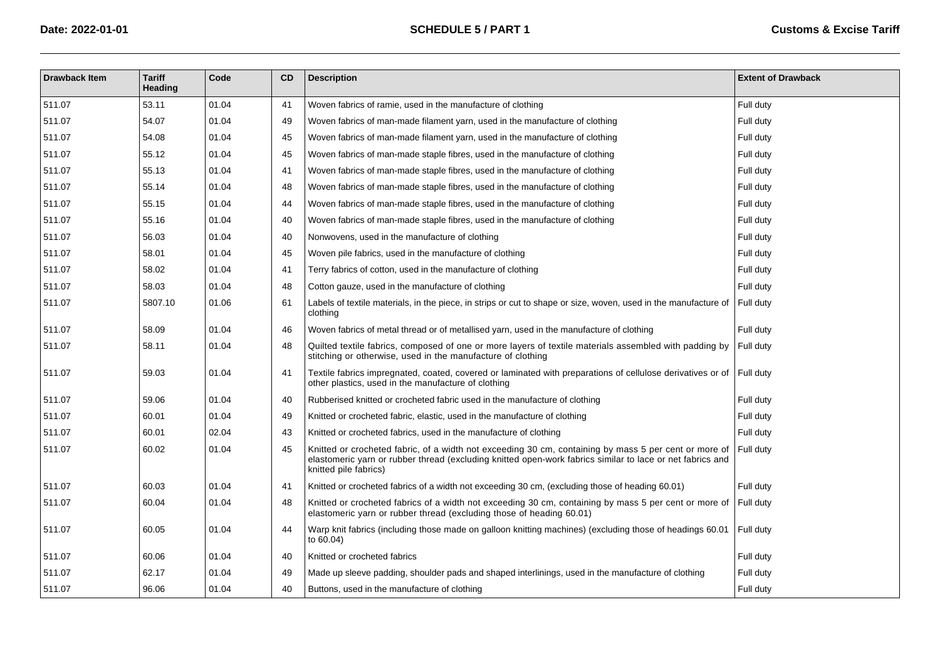| <b>Drawback Item</b> | <b>Tariff</b><br>Heading | Code  | <b>CD</b> | <b>Description</b>                                                                                                                                                                                                                          | <b>Extent of Drawback</b> |
|----------------------|--------------------------|-------|-----------|---------------------------------------------------------------------------------------------------------------------------------------------------------------------------------------------------------------------------------------------|---------------------------|
| 511.07               | 53.11                    | 01.04 | 41        | Woven fabrics of ramie, used in the manufacture of clothing                                                                                                                                                                                 | Full duty                 |
| 511.07               | 54.07                    | 01.04 | 49        | Woven fabrics of man-made filament yarn, used in the manufacture of clothing                                                                                                                                                                | Full duty                 |
| 511.07               | 54.08                    | 01.04 | 45        | Woven fabrics of man-made filament yarn, used in the manufacture of clothing                                                                                                                                                                | Full duty                 |
| 511.07               | 55.12                    | 01.04 | 45        | Woven fabrics of man-made staple fibres, used in the manufacture of clothing                                                                                                                                                                | Full duty                 |
| 511.07               | 55.13                    | 01.04 | 41        | Woven fabrics of man-made staple fibres, used in the manufacture of clothing                                                                                                                                                                | Full duty                 |
| 511.07               | 55.14                    | 01.04 | 48        | Woven fabrics of man-made staple fibres, used in the manufacture of clothing                                                                                                                                                                | Full duty                 |
| 511.07               | 55.15                    | 01.04 | 44        | Woven fabrics of man-made staple fibres, used in the manufacture of clothing                                                                                                                                                                | Full duty                 |
| 511.07               | 55.16                    | 01.04 | 40        | Woven fabrics of man-made staple fibres, used in the manufacture of clothing                                                                                                                                                                | Full duty                 |
| 511.07               | 56.03                    | 01.04 | 40        | Nonwovens, used in the manufacture of clothing                                                                                                                                                                                              | Full duty                 |
| 511.07               | 58.01                    | 01.04 | 45        | Woven pile fabrics, used in the manufacture of clothing                                                                                                                                                                                     | Full duty                 |
| 511.07               | 58.02                    | 01.04 | 41        | Terry fabrics of cotton, used in the manufacture of clothing                                                                                                                                                                                | Full duty                 |
| 511.07               | 58.03                    | 01.04 | 48        | Cotton gauze, used in the manufacture of clothing                                                                                                                                                                                           | Full duty                 |
| 511.07               | 5807.10                  | 01.06 | 61        | Labels of textile materials, in the piece, in strips or cut to shape or size, woven, used in the manufacture of<br>clothing                                                                                                                 | Full duty                 |
| 511.07               | 58.09                    | 01.04 | 46        | Woven fabrics of metal thread or of metallised yarn, used in the manufacture of clothing                                                                                                                                                    | Full duty                 |
| 511.07               | 58.11                    | 01.04 | 48        | Quilted textile fabrics, composed of one or more layers of textile materials assembled with padding by<br>stitching or otherwise, used in the manufacture of clothing                                                                       | Full duty                 |
| 511.07               | 59.03                    | 01.04 | 41        | Textile fabrics impregnated, coated, covered or laminated with preparations of cellulose derivatives or of Full duty<br>other plastics, used in the manufacture of clothing                                                                 |                           |
| 511.07               | 59.06                    | 01.04 | 40        | Rubberised knitted or crocheted fabric used in the manufacture of clothing                                                                                                                                                                  | Full duty                 |
| 511.07               | 60.01                    | 01.04 | 49        | Knitted or crocheted fabric, elastic, used in the manufacture of clothing                                                                                                                                                                   | Full duty                 |
| 511.07               | 60.01                    | 02.04 | 43        | Knitted or crocheted fabrics, used in the manufacture of clothing                                                                                                                                                                           | Full duty                 |
| 511.07               | 60.02                    | 01.04 | 45        | Knitted or crocheted fabric, of a width not exceeding 30 cm, containing by mass 5 per cent or more of<br>elastomeric yarn or rubber thread (excluding knitted open-work fabrics similar to lace or net fabrics and<br>knitted pile fabrics) | Full duty                 |
| 511.07               | 60.03                    | 01.04 | 41        | Knitted or crocheted fabrics of a width not exceeding 30 cm, (excluding those of heading 60.01)                                                                                                                                             | Full duty                 |
| 511.07               | 60.04                    | 01.04 | 48        | Knitted or crocheted fabrics of a width not exceeding 30 cm, containing by mass 5 per cent or more of<br>elastomeric yarn or rubber thread (excluding those of heading 60.01)                                                               | Full duty                 |
| 511.07               | 60.05                    | 01.04 | 44        | Warp knit fabrics (including those made on galloon knitting machines) (excluding those of headings 60.01<br>to 60.04)                                                                                                                       | Full duty                 |
| 511.07               | 60.06                    | 01.04 | 40        | Knitted or crocheted fabrics                                                                                                                                                                                                                | Full duty                 |
| 511.07               | 62.17                    | 01.04 | 49        | Made up sleeve padding, shoulder pads and shaped interlinings, used in the manufacture of clothing                                                                                                                                          | Full duty                 |
| 511.07               | 96.06                    | 01.04 | 40        | Buttons, used in the manufacture of clothing                                                                                                                                                                                                | Full duty                 |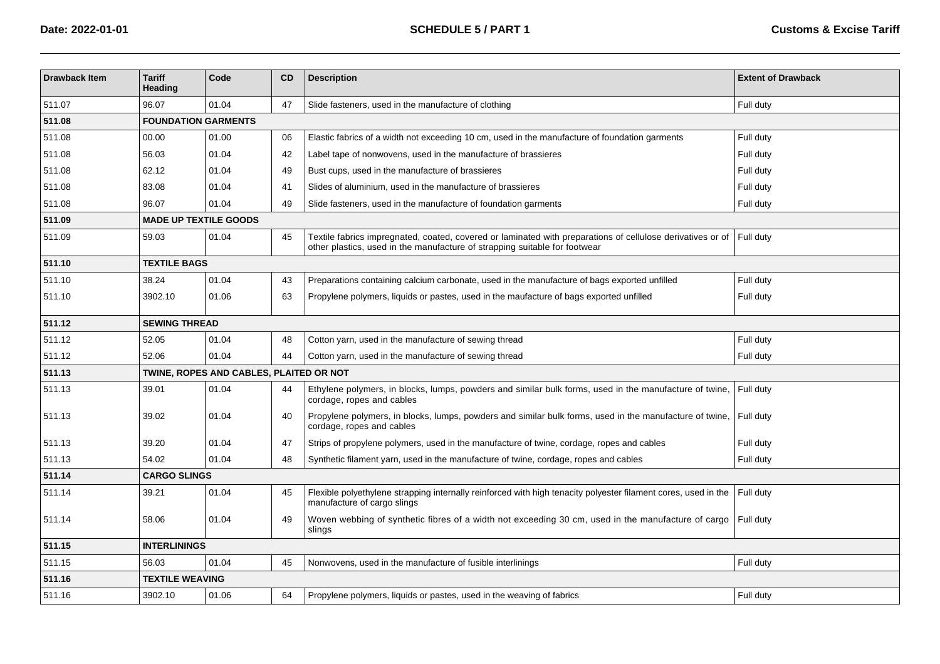| <b>Drawback Item</b> | <b>Tariff</b><br>Heading     | Code                                    | <b>CD</b> | <b>Description</b>                                                                                                                                                                       | <b>Extent of Drawback</b> |  |  |  |  |  |  |
|----------------------|------------------------------|-----------------------------------------|-----------|------------------------------------------------------------------------------------------------------------------------------------------------------------------------------------------|---------------------------|--|--|--|--|--|--|
| 511.07               | 96.07                        | 01.04                                   | 47        | Slide fasteners, used in the manufacture of clothing                                                                                                                                     | Full duty                 |  |  |  |  |  |  |
| 511.08               |                              | <b>FOUNDATION GARMENTS</b>              |           |                                                                                                                                                                                          |                           |  |  |  |  |  |  |
| 511.08               | 00.00                        | 01.00                                   | 06        | Elastic fabrics of a width not exceeding 10 cm, used in the manufacture of foundation garments                                                                                           | Full duty                 |  |  |  |  |  |  |
| 511.08               | 56.03                        | 01.04                                   | 42        | Label tape of nonwovens, used in the manufacture of brassieres                                                                                                                           | Full duty                 |  |  |  |  |  |  |
| 511.08               | 62.12                        | 01.04                                   | 49        | Bust cups, used in the manufacture of brassieres                                                                                                                                         | Full duty                 |  |  |  |  |  |  |
| 511.08               | 83.08                        | 01.04                                   | 41        | Slides of aluminium, used in the manufacture of brassieres                                                                                                                               | Full duty                 |  |  |  |  |  |  |
| 511.08               | 96.07                        | 01.04                                   | 49        | Slide fasteners, used in the manufacture of foundation garments                                                                                                                          | Full duty                 |  |  |  |  |  |  |
| 511.09               | <b>MADE UP TEXTILE GOODS</b> |                                         |           |                                                                                                                                                                                          |                           |  |  |  |  |  |  |
| 511.09               | 59.03                        | 01.04                                   | 45        | Textile fabrics impregnated, coated, covered or laminated with preparations of cellulose derivatives or of<br>other plastics, used in the manufacture of strapping suitable for footwear | Full duty                 |  |  |  |  |  |  |
| 511.10               | <b>TEXTILE BAGS</b>          |                                         |           |                                                                                                                                                                                          |                           |  |  |  |  |  |  |
| 511.10               | 38.24                        | 01.04                                   | 43        | Preparations containing calcium carbonate, used in the manufacture of bags exported unfilled                                                                                             | Full duty                 |  |  |  |  |  |  |
| 511.10               | 3902.10                      | 01.06                                   | 63        | Propylene polymers, liquids or pastes, used in the maufacture of bags exported unfilled                                                                                                  | Full duty                 |  |  |  |  |  |  |
| 511.12               | <b>SEWING THREAD</b>         |                                         |           |                                                                                                                                                                                          |                           |  |  |  |  |  |  |
| 511.12               | 52.05                        | 01.04                                   | 48        | Cotton yarn, used in the manufacture of sewing thread                                                                                                                                    | Full duty                 |  |  |  |  |  |  |
| 511.12               | 52.06                        | 01.04                                   | 44        | Cotton yarn, used in the manufacture of sewing thread                                                                                                                                    | Full duty                 |  |  |  |  |  |  |
| 511.13               |                              | TWINE, ROPES AND CABLES, PLAITED OR NOT |           |                                                                                                                                                                                          |                           |  |  |  |  |  |  |
| 511.13               | 39.01                        | 01.04                                   | -44       | Ethylene polymers, in blocks, lumps, powders and similar bulk forms, used in the manufacture of twine,<br>cordage, ropes and cables                                                      | Full duty                 |  |  |  |  |  |  |
| 511.13               | 39.02                        | 01.04                                   | 40        | Propylene polymers, in blocks, lumps, powders and similar bulk forms, used in the manufacture of twine,<br>cordage, ropes and cables                                                     | Full duty                 |  |  |  |  |  |  |
| 511.13               | 39.20                        | 01.04                                   | 47        | Strips of propylene polymers, used in the manufacture of twine, cordage, ropes and cables                                                                                                | Full duty                 |  |  |  |  |  |  |
| 511.13               | 54.02                        | 01.04                                   | 48        | Synthetic filament yarn, used in the manufacture of twine, cordage, ropes and cables                                                                                                     | Full duty                 |  |  |  |  |  |  |
| 511.14               | <b>CARGO SLINGS</b>          |                                         |           |                                                                                                                                                                                          |                           |  |  |  |  |  |  |
| 511.14               | 39.21                        | 01.04                                   | 45        | Flexible polyethylene strapping internally reinforced with high tenacity polyester filament cores, used in the<br>manufacture of cargo slings                                            | Full duty                 |  |  |  |  |  |  |
| 511.14               | 58.06                        | 01.04                                   | 49        | Woven webbing of synthetic fibres of a width not exceeding 30 cm, used in the manufacture of cargo<br>slings                                                                             | Full duty                 |  |  |  |  |  |  |
| 511.15               | <b>INTERLININGS</b>          |                                         |           |                                                                                                                                                                                          |                           |  |  |  |  |  |  |
| 511.15               | 56.03                        | 01.04                                   | 45        | Nonwovens, used in the manufacture of fusible interlinings                                                                                                                               | Full duty                 |  |  |  |  |  |  |
| 511.16               | <b>TEXTILE WEAVING</b>       |                                         |           |                                                                                                                                                                                          |                           |  |  |  |  |  |  |
| 511.16               | 3902.10                      | 01.06                                   | 64        | Propylene polymers, liquids or pastes, used in the weaving of fabrics                                                                                                                    | Full duty                 |  |  |  |  |  |  |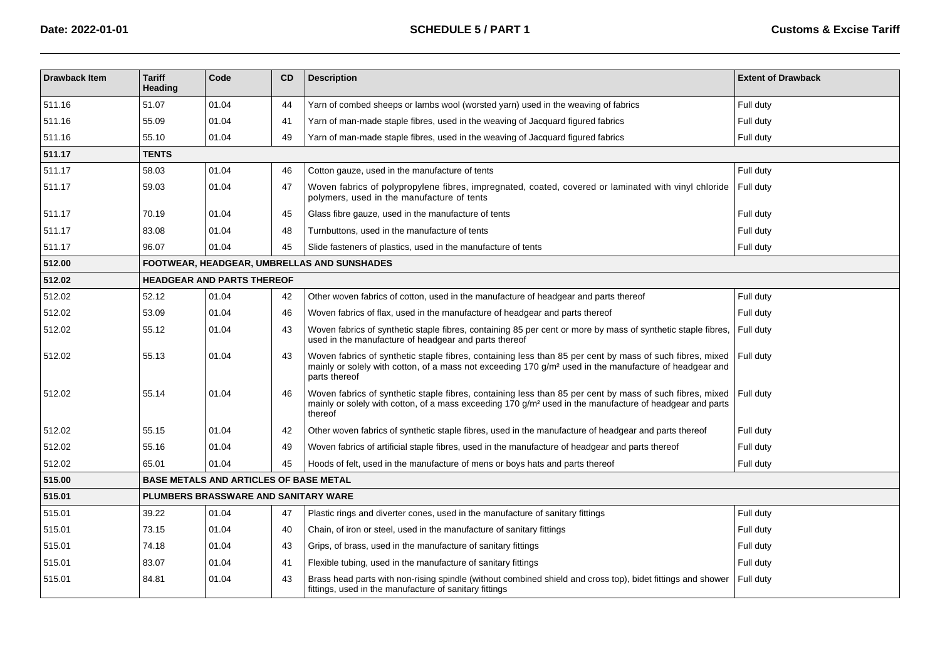| <b>Drawback Item</b> | <b>Tariff</b><br><b>Heading</b> | Code                                          | <b>CD</b> | <b>Description</b>                                                                                                                                                                                                                              | <b>Extent of Drawback</b> |
|----------------------|---------------------------------|-----------------------------------------------|-----------|-------------------------------------------------------------------------------------------------------------------------------------------------------------------------------------------------------------------------------------------------|---------------------------|
| 511.16               | 51.07                           | 01.04                                         | 44        | Yarn of combed sheeps or lambs wool (worsted yarn) used in the weaving of fabrics                                                                                                                                                               | Full duty                 |
| 511.16               | 55.09                           | 01.04                                         | 41        | Yarn of man-made staple fibres, used in the weaving of Jacquard figured fabrics                                                                                                                                                                 | Full duty                 |
| 511.16               | 55.10                           | 01.04                                         | 49        | Yarn of man-made staple fibres, used in the weaving of Jacquard figured fabrics                                                                                                                                                                 | Full duty                 |
| 511.17               | <b>TENTS</b>                    |                                               |           |                                                                                                                                                                                                                                                 |                           |
| 511.17               | 58.03                           | 01.04                                         | 46        | Cotton gauze, used in the manufacture of tents                                                                                                                                                                                                  | Full duty                 |
| 511.17               | 59.03                           | 01.04                                         | 47        | Woven fabrics of polypropylene fibres, impregnated, coated, covered or laminated with vinyl chloride<br>polymers, used in the manufacture of tents                                                                                              | Full duty                 |
| 511.17               | 70.19                           | 01.04                                         | 45        | Glass fibre gauze, used in the manufacture of tents                                                                                                                                                                                             | Full duty                 |
| 511.17               | 83.08                           | 01.04                                         | 48        | Turnbuttons, used in the manufacture of tents                                                                                                                                                                                                   | Full duty                 |
| 511.17               | 96.07                           | 01.04                                         | 45        | Slide fasteners of plastics, used in the manufacture of tents                                                                                                                                                                                   | Full duty                 |
| 512.00               |                                 |                                               |           | <b>FOOTWEAR, HEADGEAR, UMBRELLAS AND SUNSHADES</b>                                                                                                                                                                                              |                           |
| 512.02               |                                 | <b>HEADGEAR AND PARTS THEREOF</b>             |           |                                                                                                                                                                                                                                                 |                           |
| 512.02               | 52.12                           | 01.04                                         | 42        | Other woven fabrics of cotton, used in the manufacture of headgear and parts thereof                                                                                                                                                            | Full duty                 |
| 512.02               | 53.09                           | 01.04                                         | 46        | Woven fabrics of flax, used in the manufacture of headgear and parts thereof                                                                                                                                                                    | Full duty                 |
| 512.02               | 55.12                           | 01.04                                         | 43        | Woven fabrics of synthetic staple fibres, containing 85 per cent or more by mass of synthetic staple fibres,<br>used in the manufacture of headgear and parts thereof                                                                           | Full duty                 |
| 512.02               | 55.13                           | 01.04                                         | 43        | Woven fabrics of synthetic staple fibres, containing less than 85 per cent by mass of such fibres, mixed<br>mainly or solely with cotton, of a mass not exceeding 170 g/m <sup>2</sup> used in the manufacture of headgear and<br>parts thereof | Full duty                 |
| 512.02               | 55.14                           | 01.04                                         | 46        | Woven fabrics of synthetic staple fibres, containing less than 85 per cent by mass of such fibres, mixed<br>mainly or solely with cotton, of a mass exceeding 170 g/m <sup>2</sup> used in the manufacture of headgear and parts<br>thereof     | Full dutv                 |
| 512.02               | 55.15                           | 01.04                                         | 42        | Other woven fabrics of synthetic staple fibres, used in the manufacture of headgear and parts thereof                                                                                                                                           | Full duty                 |
| 512.02               | 55.16                           | 01.04                                         | 49        | Woven fabrics of artificial staple fibres, used in the manufacture of headgear and parts thereof                                                                                                                                                | Full duty                 |
| 512.02               | 65.01                           | 01.04                                         | 45        | Hoods of felt, used in the manufacture of mens or boys hats and parts thereof                                                                                                                                                                   | Full duty                 |
| 515.00               |                                 | <b>BASE METALS AND ARTICLES OF BASE METAL</b> |           |                                                                                                                                                                                                                                                 |                           |
| 515.01               |                                 | PLUMBERS BRASSWARE AND SANITARY WARE          |           |                                                                                                                                                                                                                                                 |                           |
| 515.01               | 39.22                           | 01.04                                         | 47        | Plastic rings and diverter cones, used in the manufacture of sanitary fittings                                                                                                                                                                  | Full duty                 |
| 515.01               | 73.15                           | 01.04                                         | 40        | Chain, of iron or steel, used in the manufacture of sanitary fittings                                                                                                                                                                           | Full duty                 |
| 515.01               | 74.18                           | 01.04                                         | 43        | Grips, of brass, used in the manufacture of sanitary fittings                                                                                                                                                                                   | Full duty                 |
| 515.01               | 83.07                           | 01.04                                         | 41        | Flexible tubing, used in the manufacture of sanitary fittings                                                                                                                                                                                   | Full duty                 |
| 515.01               | 84.81                           | 01.04                                         | 43        | Brass head parts with non-rising spindle (without combined shield and cross top), bidet fittings and shower<br>fittings, used in the manufacture of sanitary fittings                                                                           | Full duty                 |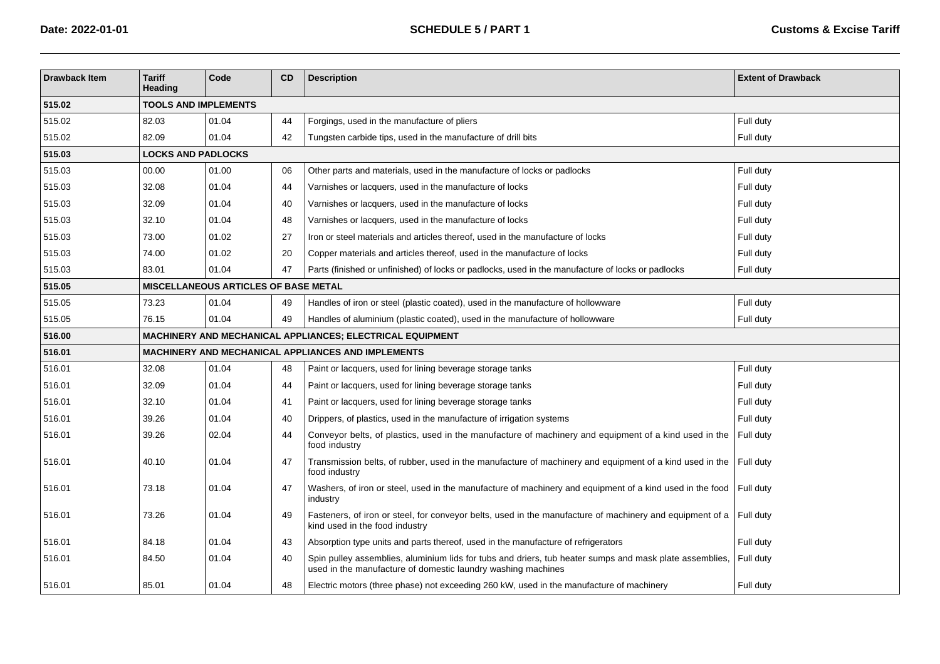| <b>Drawback Item</b> | <b>Tariff</b><br>Heading                    | Code                        | <b>CD</b> | <b>Description</b>                                                                                                                                                      | <b>Extent of Drawback</b> |  |  |  |  |  |  |
|----------------------|---------------------------------------------|-----------------------------|-----------|-------------------------------------------------------------------------------------------------------------------------------------------------------------------------|---------------------------|--|--|--|--|--|--|
| 515.02               |                                             | <b>TOOLS AND IMPLEMENTS</b> |           |                                                                                                                                                                         |                           |  |  |  |  |  |  |
| 515.02               | 82.03                                       | 01.04                       | 44        | Forgings, used in the manufacture of pliers                                                                                                                             | Full duty                 |  |  |  |  |  |  |
| 515.02               | 82.09                                       | 01.04                       | 42        | Tungsten carbide tips, used in the manufacture of drill bits                                                                                                            | Full duty                 |  |  |  |  |  |  |
| 515.03               |                                             | <b>LOCKS AND PADLOCKS</b>   |           |                                                                                                                                                                         |                           |  |  |  |  |  |  |
| 515.03               | 00.00                                       | 01.00                       | 06        | Other parts and materials, used in the manufacture of locks or padlocks                                                                                                 | Full duty                 |  |  |  |  |  |  |
| 515.03               | 32.08                                       | 01.04                       | 44        | Varnishes or lacquers, used in the manufacture of locks                                                                                                                 | Full duty                 |  |  |  |  |  |  |
| 515.03               | 32.09                                       | 01.04                       | 40        | Varnishes or lacquers, used in the manufacture of locks                                                                                                                 | Full duty                 |  |  |  |  |  |  |
| 515.03               | 32.10                                       | 01.04                       | 48        | Varnishes or lacquers, used in the manufacture of locks                                                                                                                 | Full duty                 |  |  |  |  |  |  |
| 515.03               | 73.00                                       | 01.02                       | 27        | Iron or steel materials and articles thereof, used in the manufacture of locks                                                                                          | Full duty                 |  |  |  |  |  |  |
| 515.03               | 74.00                                       | 01.02                       | 20        | Copper materials and articles thereof, used in the manufacture of locks                                                                                                 | Full duty                 |  |  |  |  |  |  |
| 515.03               | 83.01                                       | 01.04                       | 47        | Parts (finished or unfinished) of locks or padlocks, used in the manufacture of locks or padlocks                                                                       | Full duty                 |  |  |  |  |  |  |
| 515.05               | <b>MISCELLANEOUS ARTICLES OF BASE METAL</b> |                             |           |                                                                                                                                                                         |                           |  |  |  |  |  |  |
| 515.05               | 73.23                                       | 01.04                       | 49        | Handles of iron or steel (plastic coated), used in the manufacture of hollowware                                                                                        | Full duty                 |  |  |  |  |  |  |
| 515.05               | 76.15                                       | 01.04                       | 49        | Handles of aluminium (plastic coated), used in the manufacture of hollowware                                                                                            | Full duty                 |  |  |  |  |  |  |
| 516.00               |                                             |                             |           | MACHINERY AND MECHANICAL APPLIANCES; ELECTRICAL EQUIPMENT                                                                                                               |                           |  |  |  |  |  |  |
| 516.01               |                                             |                             |           | <b>MACHINERY AND MECHANICAL APPLIANCES AND IMPLEMENTS</b>                                                                                                               |                           |  |  |  |  |  |  |
| 516.01               | 32.08                                       | 01.04                       | 48        | Paint or lacquers, used for lining beverage storage tanks                                                                                                               | Full duty                 |  |  |  |  |  |  |
| 516.01               | 32.09                                       | 01.04                       | 44        | Paint or lacquers, used for lining beverage storage tanks                                                                                                               | Full duty                 |  |  |  |  |  |  |
| 516.01               | 32.10                                       | 01.04                       | 41        | Paint or lacquers, used for lining beverage storage tanks                                                                                                               | Full duty                 |  |  |  |  |  |  |
| 516.01               | 39.26                                       | 01.04                       | 40        | Drippers, of plastics, used in the manufacture of irrigation systems                                                                                                    | Full duty                 |  |  |  |  |  |  |
| 516.01               | 39.26                                       | 02.04                       | 44        | Conveyor belts, of plastics, used in the manufacture of machinery and equipment of a kind used in the<br>food industry                                                  | Full duty                 |  |  |  |  |  |  |
| 516.01               | 40.10                                       | 01.04                       | 47        | Transmission belts, of rubber, used in the manufacture of machinery and equipment of a kind used in the<br>food industry                                                | Full duty                 |  |  |  |  |  |  |
| 516.01               | 73.18                                       | 01.04                       | 47        | Washers, of iron or steel, used in the manufacture of machinery and equipment of a kind used in the food   Full duty<br>industry                                        |                           |  |  |  |  |  |  |
| 516.01               | 73.26                                       | 01.04                       | 49        | Fasteners, of iron or steel, for conveyor belts, used in the manufacture of machinery and equipment of a $\vert$ Full duty<br>kind used in the food industry            |                           |  |  |  |  |  |  |
| 516.01               | 84.18                                       | 01.04                       | 43        | Absorption type units and parts thereof, used in the manufacture of refrigerators                                                                                       | Full duty                 |  |  |  |  |  |  |
| 516.01               | 84.50                                       | 01.04                       | 40        | Spin pulley assemblies, aluminium lids for tubs and driers, tub heater sumps and mask plate assemblies,<br>used in the manufacture of domestic laundry washing machines | Full duty                 |  |  |  |  |  |  |
| 516.01               | 85.01                                       | 01.04                       | 48        | Electric motors (three phase) not exceeding 260 kW, used in the manufacture of machinery                                                                                | Full duty                 |  |  |  |  |  |  |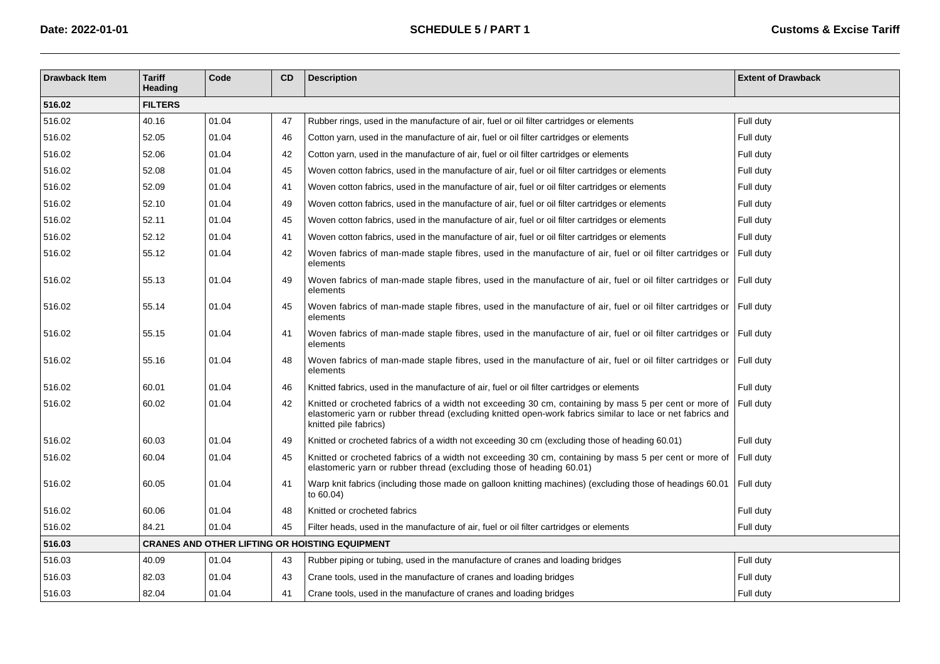| <b>Drawback Item</b> | <b>Tariff</b><br>Heading | Code  | CD | <b>Description</b>                                                                                                                                                                                                                          | <b>Extent of Drawback</b> |
|----------------------|--------------------------|-------|----|---------------------------------------------------------------------------------------------------------------------------------------------------------------------------------------------------------------------------------------------|---------------------------|
| 516.02               | <b>FILTERS</b>           |       |    |                                                                                                                                                                                                                                             |                           |
| 516.02               | 40.16                    | 01.04 | 47 | Rubber rings, used in the manufacture of air, fuel or oil filter cartridges or elements                                                                                                                                                     | Full duty                 |
| 516.02               | 52.05                    | 01.04 | 46 | Cotton yarn, used in the manufacture of air, fuel or oil filter cartridges or elements                                                                                                                                                      | Full duty                 |
| 516.02               | 52.06                    | 01.04 | 42 | Cotton yarn, used in the manufacture of air, fuel or oil filter cartridges or elements                                                                                                                                                      | Full duty                 |
| 516.02               | 52.08                    | 01.04 | 45 | Woven cotton fabrics, used in the manufacture of air, fuel or oil filter cartridges or elements                                                                                                                                             | Full duty                 |
| 516.02               | 52.09                    | 01.04 | 41 | Woven cotton fabrics, used in the manufacture of air, fuel or oil filter cartridges or elements                                                                                                                                             | Full duty                 |
| 516.02               | 52.10                    | 01.04 | 49 | Woven cotton fabrics, used in the manufacture of air, fuel or oil filter cartridges or elements                                                                                                                                             | Full duty                 |
| 516.02               | 52.11                    | 01.04 | 45 | Woven cotton fabrics, used in the manufacture of air, fuel or oil filter cartridges or elements                                                                                                                                             | Full duty                 |
| 516.02               | 52.12                    | 01.04 | 41 | Woven cotton fabrics, used in the manufacture of air, fuel or oil filter cartridges or elements                                                                                                                                             | Full duty                 |
| 516.02               | 55.12                    | 01.04 | 42 | Woven fabrics of man-made staple fibres, used in the manufacture of air, fuel or oil filter cartridges or<br>elements                                                                                                                       | Full duty                 |
| 516.02               | 55.13                    | 01.04 | 49 | Woven fabrics of man-made staple fibres, used in the manufacture of air, fuel or oil filter cartridges or<br>elements                                                                                                                       | Full duty                 |
| 516.02               | 55.14                    | 01.04 | 45 | Woven fabrics of man-made staple fibres, used in the manufacture of air, fuel or oil filter cartridges or<br>elements                                                                                                                       | Full duty                 |
| 516.02               | 55.15                    | 01.04 | 41 | Woven fabrics of man-made staple fibres, used in the manufacture of air, fuel or oil filter cartridges or Full duty<br>elements                                                                                                             |                           |
| 516.02               | 55.16                    | 01.04 | 48 | Woven fabrics of man-made staple fibres, used in the manufacture of air, fuel or oil filter cartridges or Full duty<br>elements                                                                                                             |                           |
| 516.02               | 60.01                    | 01.04 | 46 | Knitted fabrics, used in the manufacture of air, fuel or oil filter cartridges or elements                                                                                                                                                  | Full duty                 |
| 516.02               | 60.02                    | 01.04 | 42 | Knitted or crocheted fabrics of a width not exceeding 30 cm, containing by mass 5 per cent or more of<br>elastomeric yarn or rubber thread (excluding knitted open-work fabrics similar to lace or net fabrics and<br>knitted pile fabrics) | Full duty                 |
| 516.02               | 60.03                    | 01.04 | 49 | Knitted or crocheted fabrics of a width not exceeding 30 cm (excluding those of heading 60.01)                                                                                                                                              | Full duty                 |
| 516.02               | 60.04                    | 01.04 | 45 | Knitted or crocheted fabrics of a width not exceeding 30 cm, containing by mass 5 per cent or more of<br>elastomeric yarn or rubber thread (excluding those of heading 60.01)                                                               | Full duty                 |
| 516.02               | 60.05                    | 01.04 | 41 | Warp knit fabrics (including those made on galloon knitting machines) (excluding those of headings 60.01<br>to $60.04$ )                                                                                                                    | Full duty                 |
| 516.02               | 60.06                    | 01.04 | 48 | Knitted or crocheted fabrics                                                                                                                                                                                                                | Full duty                 |
| 516.02               | 84.21                    | 01.04 | 45 | Filter heads, used in the manufacture of air, fuel or oil filter cartridges or elements                                                                                                                                                     | Full duty                 |
| 516.03               |                          |       |    | <b>CRANES AND OTHER LIFTING OR HOISTING EQUIPMENT</b>                                                                                                                                                                                       |                           |
| 516.03               | 40.09                    | 01.04 | 43 | Rubber piping or tubing, used in the manufacture of cranes and loading bridges                                                                                                                                                              | Full duty                 |
| 516.03               | 82.03                    | 01.04 | 43 | Crane tools, used in the manufacture of cranes and loading bridges                                                                                                                                                                          | Full duty                 |
| 516.03               | 82.04                    | 01.04 | 41 | Crane tools, used in the manufacture of cranes and loading bridges                                                                                                                                                                          | Full duty                 |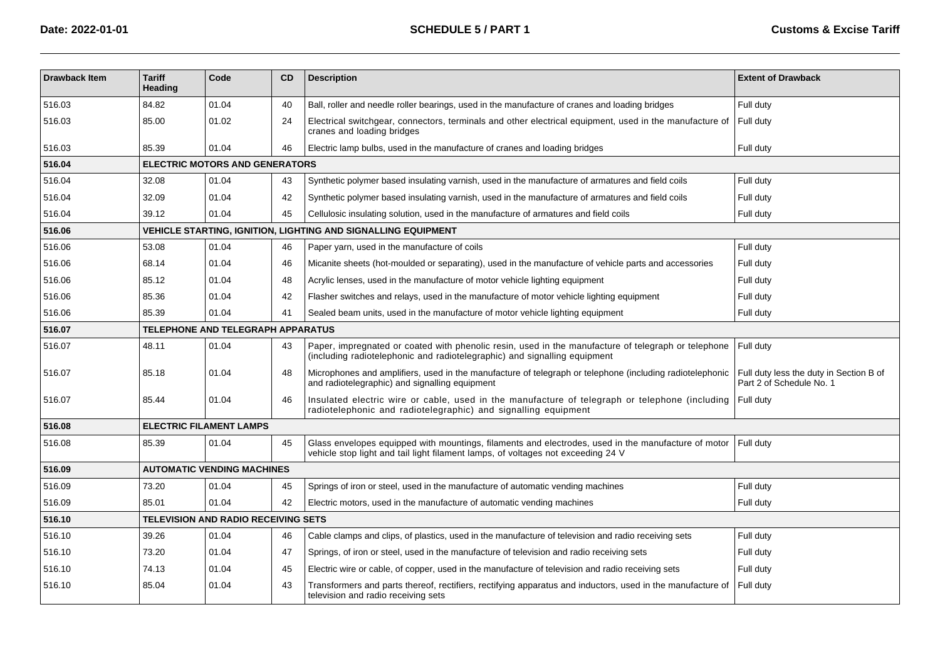| <b>Drawback Item</b> | <b>Tariff</b><br>Heading | Code                                       | <b>CD</b> | <b>Description</b>                                                                                                                                                                      | <b>Extent of Drawback</b>                                           |
|----------------------|--------------------------|--------------------------------------------|-----------|-----------------------------------------------------------------------------------------------------------------------------------------------------------------------------------------|---------------------------------------------------------------------|
| 516.03               | 84.82                    | 01.04                                      | 40        | Ball, roller and needle roller bearings, used in the manufacture of cranes and loading bridges                                                                                          | Full duty                                                           |
| 516.03               | 85.00                    | 01.02                                      | 24        | Electrical switchgear, connectors, terminals and other electrical equipment, used in the manufacture of<br>cranes and loading bridges                                                   | Full duty                                                           |
| 516.03               | 85.39                    | 01.04                                      | 46        | Electric lamp bulbs, used in the manufacture of cranes and loading bridges                                                                                                              | Full duty                                                           |
| 516.04               |                          | <b>ELECTRIC MOTORS AND GENERATORS</b>      |           |                                                                                                                                                                                         |                                                                     |
| 516.04               | 32.08                    | 01.04                                      | 43        | Synthetic polymer based insulating varnish, used in the manufacture of armatures and field coils                                                                                        | Full duty                                                           |
| 516.04               | 32.09                    | 01.04                                      | 42        | Synthetic polymer based insulating varnish, used in the manufacture of armatures and field coils                                                                                        | Full duty                                                           |
| 516.04               | 39.12                    | 01.04                                      | 45        | Cellulosic insulating solution, used in the manufacture of armatures and field coils                                                                                                    | Full duty                                                           |
| 516.06               |                          |                                            |           | VEHICLE STARTING, IGNITION, LIGHTING AND SIGNALLING EQUIPMENT                                                                                                                           |                                                                     |
| 516.06               | 53.08                    | 01.04                                      | 46        | Paper yarn, used in the manufacture of coils                                                                                                                                            | Full duty                                                           |
| 516.06               | 68.14                    | 01.04                                      | 46        | Micanite sheets (hot-moulded or separating), used in the manufacture of vehicle parts and accessories                                                                                   | Full duty                                                           |
| 516.06               | 85.12                    | 01.04                                      | 48        | Acrylic lenses, used in the manufacture of motor vehicle lighting equipment                                                                                                             | Full duty                                                           |
| 516.06               | 85.36                    | 01.04                                      | 42        | Flasher switches and relays, used in the manufacture of motor vehicle lighting equipment                                                                                                | Full duty                                                           |
| 516.06               | 85.39                    | 01.04                                      | 41        | Sealed beam units, used in the manufacture of motor vehicle lighting equipment                                                                                                          | Full duty                                                           |
| 516.07               |                          | TELEPHONE AND TELEGRAPH APPARATUS          |           |                                                                                                                                                                                         |                                                                     |
| 516.07               | 48.11                    | 01.04                                      | 43        | Paper, impregnated or coated with phenolic resin, used in the manufacture of telegraph or telephone<br>(including radiotelephonic and radiotelegraphic) and signalling equipment        | Full duty                                                           |
| 516.07               | 85.18                    | 01.04                                      | 48        | Microphones and amplifiers, used in the manufacture of telegraph or telephone (including radiotelephonic<br>and radiotelegraphic) and signalling equipment                              | Full duty less the duty in Section B of<br>Part 2 of Schedule No. 1 |
| 516.07               | 85.44                    | 01.04                                      | 46        | Insulated electric wire or cable, used in the manufacture of telegraph or telephone (including<br>radiotelephonic and radiotelegraphic) and signalling equipment                        | Full duty                                                           |
| 516.08               |                          | <b>ELECTRIC FILAMENT LAMPS</b>             |           |                                                                                                                                                                                         |                                                                     |
| 516.08               | 85.39                    | 01.04                                      | 45        | Glass envelopes equipped with mountings, filaments and electrodes, used in the manufacture of motor<br>vehicle stop light and tail light filament lamps, of voltages not exceeding 24 V | Full duty                                                           |
| 516.09               |                          | <b>AUTOMATIC VENDING MACHINES</b>          |           |                                                                                                                                                                                         |                                                                     |
| 516.09               | 73.20                    | 01.04                                      | 45        | Springs of iron or steel, used in the manufacture of automatic vending machines                                                                                                         | Full duty                                                           |
| 516.09               | 85.01                    | 01.04                                      | 42        | Electric motors, used in the manufacture of automatic vending machines                                                                                                                  | Full duty                                                           |
| 516.10               |                          | <b>TELEVISION AND RADIO RECEIVING SETS</b> |           |                                                                                                                                                                                         |                                                                     |
| 516.10               | 39.26                    | 01.04                                      | 46        | Cable clamps and clips, of plastics, used in the manufacture of television and radio receiving sets                                                                                     | Full duty                                                           |
| 516.10               | 73.20                    | 01.04                                      | 47        | Springs, of iron or steel, used in the manufacture of television and radio receiving sets                                                                                               | Full duty                                                           |
| 516.10               | 74.13                    | 01.04                                      | 45        | Electric wire or cable, of copper, used in the manufacture of television and radio receiving sets                                                                                       | Full duty                                                           |
| 516.10               | 85.04                    | 01.04                                      | 43        | Transformers and parts thereof, rectifiers, rectifying apparatus and inductors, used in the manufacture of<br>television and radio receiving sets                                       | Full duty                                                           |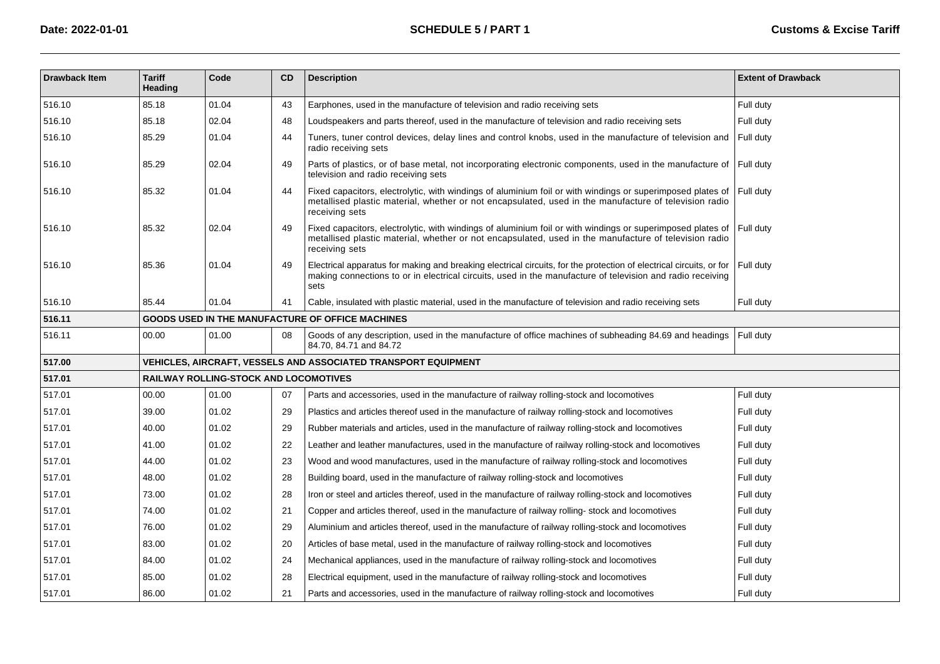| <b>Drawback Item</b> | <b>Tariff</b><br><b>Heading</b> | Code                                         | CD | <b>Description</b>                                                                                                                                                                                                                        | <b>Extent of Drawback</b> |
|----------------------|---------------------------------|----------------------------------------------|----|-------------------------------------------------------------------------------------------------------------------------------------------------------------------------------------------------------------------------------------------|---------------------------|
| 516.10               | 85.18                           | 01.04                                        | 43 | Earphones, used in the manufacture of television and radio receiving sets                                                                                                                                                                 | Full duty                 |
| 516.10               | 85.18                           | 02.04                                        | 48 | Loudspeakers and parts thereof, used in the manufacture of television and radio receiving sets                                                                                                                                            | Full duty                 |
| 516.10               | 85.29                           | 01.04                                        | 44 | Tuners, tuner control devices, delay lines and control knobs, used in the manufacture of television and<br>radio receiving sets                                                                                                           | Full duty                 |
| 516.10               | 85.29                           | 02.04                                        | 49 | Parts of plastics, or of base metal, not incorporating electronic components, used in the manufacture of<br>television and radio receiving sets                                                                                           | Full duty                 |
| 516.10               | 85.32                           | 01.04                                        | 44 | Fixed capacitors, electrolytic, with windings of aluminium foil or with windings or superimposed plates of<br>metallised plastic material, whether or not encapsulated, used in the manufacture of television radio<br>receiving sets     | Full duty                 |
| 516.10               | 85.32                           | 02.04                                        | 49 | Fixed capacitors, electrolytic, with windings of aluminium foil or with windings or superimposed plates of<br>metallised plastic material, whether or not encapsulated, used in the manufacture of television radio<br>receiving sets     | Full duty                 |
| 516.10               | 85.36                           | 01.04                                        | 49 | Electrical apparatus for making and breaking electrical circuits, for the protection of electrical circuits, or for<br>making connections to or in electrical circuits, used in the manufacture of television and radio receiving<br>sets | Full duty                 |
| 516.10               | 85.44                           | 01.04                                        | 41 | Cable, insulated with plastic material, used in the manufacture of television and radio receiving sets                                                                                                                                    | Full duty                 |
| 516.11               |                                 |                                              |    | GOODS USED IN THE MANUFACTURE OF OFFICE MACHINES                                                                                                                                                                                          |                           |
| 516.11               | 00.00                           | 01.00                                        | 08 | Goods of any description, used in the manufacture of office machines of subheading 84.69 and headings<br>84.70, 84.71 and 84.72                                                                                                           | Full duty                 |
| 517.00               |                                 |                                              |    | <b>VEHICLES, AIRCRAFT, VESSELS AND ASSOCIATED TRANSPORT EQUIPMENT</b>                                                                                                                                                                     |                           |
| 517.01               |                                 | <b>RAILWAY ROLLING-STOCK AND LOCOMOTIVES</b> |    |                                                                                                                                                                                                                                           |                           |
| 517.01               | 00.00                           | 01.00                                        | 07 | Parts and accessories, used in the manufacture of railway rolling-stock and locomotives                                                                                                                                                   | Full duty                 |
| 517.01               | 39.00                           | 01.02                                        | 29 | Plastics and articles thereof used in the manufacture of railway rolling-stock and locomotives                                                                                                                                            | Full duty                 |
| 517.01               | 40.00                           | 01.02                                        | 29 | Rubber materials and articles, used in the manufacture of railway rolling-stock and locomotives                                                                                                                                           | Full duty                 |
| 517.01               | 41.00                           | 01.02                                        | 22 | Leather and leather manufactures, used in the manufacture of railway rolling-stock and locomotives                                                                                                                                        | Full duty                 |
| 517.01               | 44.00                           | 01.02                                        | 23 | Wood and wood manufactures, used in the manufacture of railway rolling-stock and locomotives                                                                                                                                              | Full duty                 |
| 517.01               | 48.00                           | 01.02                                        | 28 | Building board, used in the manufacture of railway rolling-stock and locomotives                                                                                                                                                          | Full duty                 |
| 517.01               | 73.00                           | 01.02                                        | 28 | Iron or steel and articles thereof, used in the manufacture of railway rolling-stock and locomotives                                                                                                                                      | Full duty                 |
| 517.01               | 74.00                           | 01.02                                        | 21 | Copper and articles thereof, used in the manufacture of railway rolling-stock and locomotives                                                                                                                                             | Full duty                 |
| 517.01               | 76.00                           | 01.02                                        | 29 | Aluminium and articles thereof, used in the manufacture of railway rolling-stock and locomotives                                                                                                                                          | Full duty                 |
| 517.01               | 83.00                           | 01.02                                        | 20 | Articles of base metal, used in the manufacture of railway rolling-stock and locomotives                                                                                                                                                  | Full duty                 |
| 517.01               | 84.00                           | 01.02                                        | 24 | Mechanical appliances, used in the manufacture of railway rolling-stock and locomotives                                                                                                                                                   | Full duty                 |
| 517.01               | 85.00                           | 01.02                                        | 28 | Electrical equipment, used in the manufacture of railway rolling-stock and locomotives                                                                                                                                                    | Full duty                 |
| 517.01               | 86.00                           | 01.02                                        | 21 | Parts and accessories, used in the manufacture of railway rolling-stock and locomotives                                                                                                                                                   | Full duty                 |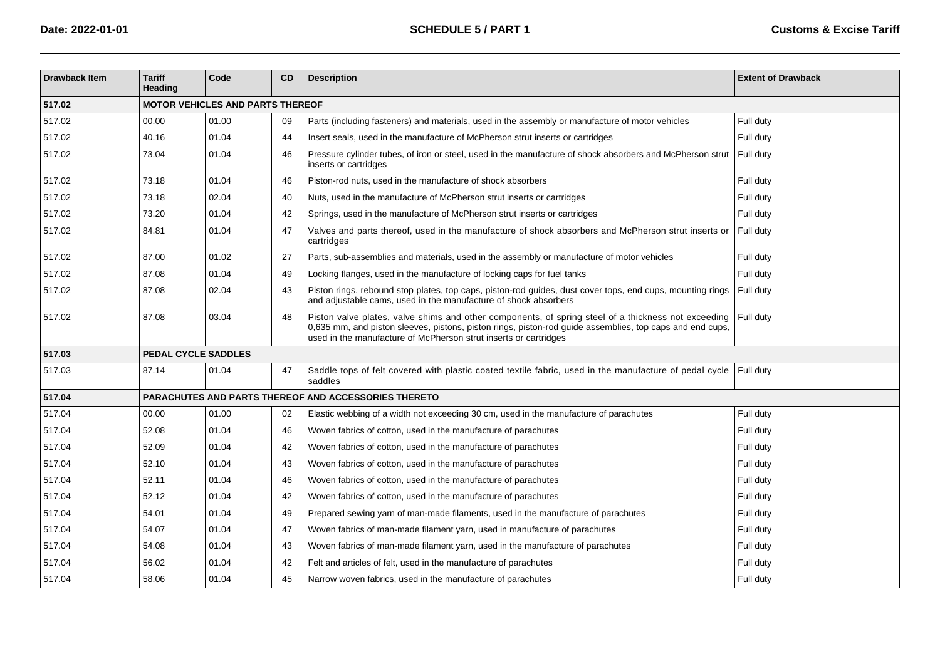| <b>Drawback Item</b> | <b>Tariff</b><br><b>Heading</b>         | Code  | <b>CD</b> | <b>Description</b>                                                                                                                                                                                                                                                                  | <b>Extent of Drawback</b> |  |  |  |  |  |
|----------------------|-----------------------------------------|-------|-----------|-------------------------------------------------------------------------------------------------------------------------------------------------------------------------------------------------------------------------------------------------------------------------------------|---------------------------|--|--|--|--|--|
| 517.02               | <b>MOTOR VEHICLES AND PARTS THEREOF</b> |       |           |                                                                                                                                                                                                                                                                                     |                           |  |  |  |  |  |
| 517.02               | 00.00                                   | 01.00 | 09        | Parts (including fasteners) and materials, used in the assembly or manufacture of motor vehicles                                                                                                                                                                                    | Full duty                 |  |  |  |  |  |
| 517.02               | 40.16                                   | 01.04 | 44        | Insert seals, used in the manufacture of McPherson strut inserts or cartridges                                                                                                                                                                                                      | Full duty                 |  |  |  |  |  |
| 517.02               | 73.04                                   | 01.04 | 46        | Pressure cylinder tubes, of iron or steel, used in the manufacture of shock absorbers and McPherson strut<br>inserts or cartridges                                                                                                                                                  | Full duty                 |  |  |  |  |  |
| 517.02               | 73.18                                   | 01.04 | 46        | Piston-rod nuts, used in the manufacture of shock absorbers                                                                                                                                                                                                                         | Full duty                 |  |  |  |  |  |
| 517.02               | 73.18                                   | 02.04 | 40        | Nuts, used in the manufacture of McPherson strut inserts or cartridges                                                                                                                                                                                                              | Full duty                 |  |  |  |  |  |
| 517.02               | 73.20                                   | 01.04 | 42        | Springs, used in the manufacture of McPherson strut inserts or cartridges                                                                                                                                                                                                           | Full duty                 |  |  |  |  |  |
| 517.02               | 84.81                                   | 01.04 | 47        | Valves and parts thereof, used in the manufacture of shock absorbers and McPherson strut inserts or<br>cartridges                                                                                                                                                                   | Full duty                 |  |  |  |  |  |
| 517.02               | 87.00                                   | 01.02 | 27        | Parts, sub-assemblies and materials, used in the assembly or manufacture of motor vehicles                                                                                                                                                                                          | Full duty                 |  |  |  |  |  |
| 517.02               | 87.08                                   | 01.04 | 49        | Locking flanges, used in the manufacture of locking caps for fuel tanks                                                                                                                                                                                                             | Full duty                 |  |  |  |  |  |
| 517.02               | 87.08                                   | 02.04 | 43        | Piston rings, rebound stop plates, top caps, piston-rod guides, dust cover tops, end cups, mounting rings<br>and adjustable cams, used in the manufacture of shock absorbers                                                                                                        | Full duty                 |  |  |  |  |  |
| 517.02               | 87.08                                   | 03.04 | 48        | Piston valve plates, valve shims and other components, of spring steel of a thickness not exceeding<br>0,635 mm, and piston sleeves, pistons, piston rings, piston-rod guide assemblies, top caps and end cups,<br>used in the manufacture of McPherson strut inserts or cartridges | Full duty                 |  |  |  |  |  |
| 517.03               | <b>PEDAL CYCLE SADDLES</b>              |       |           |                                                                                                                                                                                                                                                                                     |                           |  |  |  |  |  |
| 517.03               | 87.14                                   | 01.04 | 47        | Saddle tops of felt covered with plastic coated textile fabric, used in the manufacture of pedal cycle<br>saddles                                                                                                                                                                   | Full duty                 |  |  |  |  |  |
| 517.04               |                                         |       |           | <b>PARACHUTES AND PARTS THEREOF AND ACCESSORIES THERETO</b>                                                                                                                                                                                                                         |                           |  |  |  |  |  |
| 517.04               | 00.00                                   | 01.00 | 02        | Elastic webbing of a width not exceeding 30 cm, used in the manufacture of parachutes                                                                                                                                                                                               | Full duty                 |  |  |  |  |  |
| 517.04               | 52.08                                   | 01.04 | 46        | Woven fabrics of cotton, used in the manufacture of parachutes                                                                                                                                                                                                                      | Full duty                 |  |  |  |  |  |
| 517.04               | 52.09                                   | 01.04 | 42        | Woven fabrics of cotton, used in the manufacture of parachutes                                                                                                                                                                                                                      | Full duty                 |  |  |  |  |  |
| 517.04               | 52.10                                   | 01.04 | 43        | Woven fabrics of cotton, used in the manufacture of parachutes                                                                                                                                                                                                                      | Full duty                 |  |  |  |  |  |
| 517.04               | 52.11                                   | 01.04 | 46        | Woven fabrics of cotton, used in the manufacture of parachutes                                                                                                                                                                                                                      | Full duty                 |  |  |  |  |  |
| 517.04               | 52.12                                   | 01.04 | 42        | Woven fabrics of cotton, used in the manufacture of parachutes                                                                                                                                                                                                                      | Full duty                 |  |  |  |  |  |
| 517.04               | 54.01                                   | 01.04 | 49        | Prepared sewing yarn of man-made filaments, used in the manufacture of parachutes                                                                                                                                                                                                   | Full duty                 |  |  |  |  |  |
| 517.04               | 54.07                                   | 01.04 | 47        | Woven fabrics of man-made filament yarn, used in manufacture of parachutes                                                                                                                                                                                                          | Full duty                 |  |  |  |  |  |
| 517.04               | 54.08                                   | 01.04 | 43        | Woven fabrics of man-made filament yarn, used in the manufacture of parachutes                                                                                                                                                                                                      | Full duty                 |  |  |  |  |  |
| 517.04               | 56.02                                   | 01.04 | 42        | Felt and articles of felt, used in the manufacture of parachutes                                                                                                                                                                                                                    | Full duty                 |  |  |  |  |  |
| 517.04               | 58.06                                   | 01.04 | 45        | Narrow woven fabrics, used in the manufacture of parachutes                                                                                                                                                                                                                         | Full duty                 |  |  |  |  |  |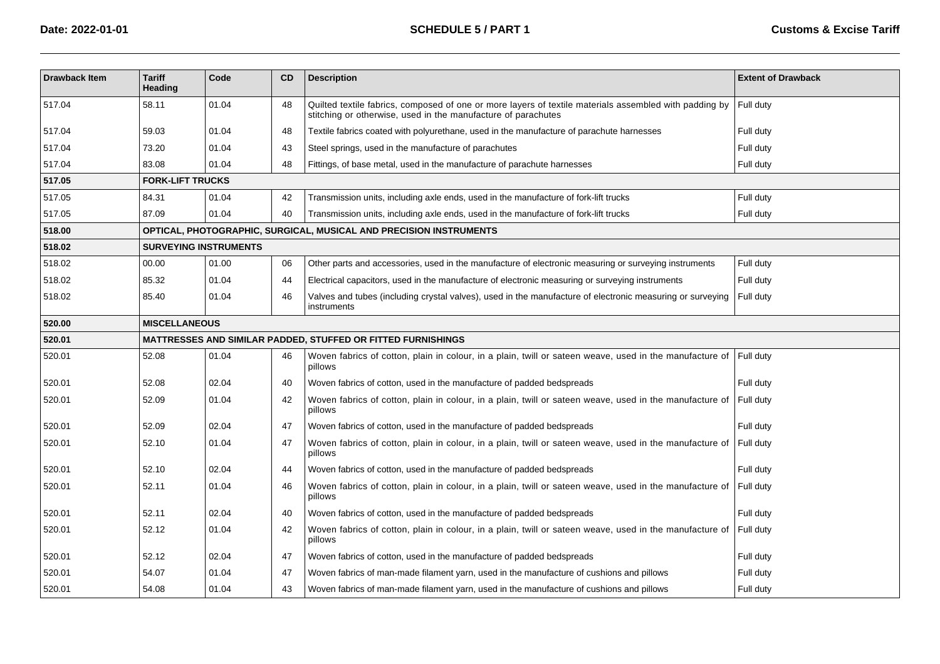| <b>Drawback Item</b> | <b>Tariff</b><br><b>Heading</b> | Code  | <b>CD</b> | <b>Description</b>                                                                                                                                                      | <b>Extent of Drawback</b> |  |  |  |
|----------------------|---------------------------------|-------|-----------|-------------------------------------------------------------------------------------------------------------------------------------------------------------------------|---------------------------|--|--|--|
| 517.04               | 58.11                           | 01.04 | 48        | Quilted textile fabrics, composed of one or more layers of textile materials assembled with padding by<br>stitching or otherwise, used in the manufacture of parachutes | Full duty                 |  |  |  |
| 517.04               | 59.03                           | 01.04 | 48        | Textile fabrics coated with polyurethane, used in the manufacture of parachute harnesses                                                                                | Full duty                 |  |  |  |
| 517.04               | 73.20                           | 01.04 | 43        | Steel springs, used in the manufacture of parachutes                                                                                                                    | Full duty                 |  |  |  |
| 517.04               | 83.08                           | 01.04 | 48        | Fittings, of base metal, used in the manufacture of parachute harnesses                                                                                                 | Full duty                 |  |  |  |
| 517.05               | <b>FORK-LIFT TRUCKS</b>         |       |           |                                                                                                                                                                         |                           |  |  |  |
| 517.05               | 84.31                           | 01.04 | 42        | Transmission units, including axle ends, used in the manufacture of fork-lift trucks                                                                                    | Full duty                 |  |  |  |
| 517.05               | 87.09                           | 01.04 | 40        | Transmission units, including axle ends, used in the manufacture of fork-lift trucks                                                                                    | Full duty                 |  |  |  |
| 518.00               |                                 |       |           | OPTICAL, PHOTOGRAPHIC, SURGICAL, MUSICAL AND PRECISION INSTRUMENTS                                                                                                      |                           |  |  |  |
| 518.02               | <b>SURVEYING INSTRUMENTS</b>    |       |           |                                                                                                                                                                         |                           |  |  |  |
| 518.02               | 00.00                           | 01.00 | 06        | Other parts and accessories, used in the manufacture of electronic measuring or surveying instruments                                                                   | Full duty                 |  |  |  |
| 518.02               | 85.32                           | 01.04 | 44        | Electrical capacitors, used in the manufacture of electronic measuring or surveying instruments                                                                         | Full duty                 |  |  |  |
| 518.02               | 85.40                           | 01.04 | 46        | Valves and tubes (including crystal valves), used in the manufacture of electronic measuring or surveying<br>instruments                                                | Full duty                 |  |  |  |
| 520.00               | <b>MISCELLANEOUS</b>            |       |           |                                                                                                                                                                         |                           |  |  |  |
| 520.01               |                                 |       |           | MATTRESSES AND SIMILAR PADDED, STUFFED OR FITTED FURNISHINGS                                                                                                            |                           |  |  |  |
| 520.01               | 52.08                           | 01.04 | 46        | Woven fabrics of cotton, plain in colour, in a plain, twill or sateen weave, used in the manufacture of<br>pillows                                                      | Full duty                 |  |  |  |
| 520.01               | 52.08                           | 02.04 | 40        | Woven fabrics of cotton, used in the manufacture of padded bedspreads                                                                                                   | Full duty                 |  |  |  |
| 520.01               | 52.09                           | 01.04 | 42        | Woven fabrics of cotton, plain in colour, in a plain, twill or sateen weave, used in the manufacture of<br>pillows                                                      | Full duty                 |  |  |  |
| 520.01               | 52.09                           | 02.04 | 47        | Woven fabrics of cotton, used in the manufacture of padded bedspreads                                                                                                   | Full duty                 |  |  |  |
| 520.01               | 52.10                           | 01.04 | 47        | Woven fabrics of cotton, plain in colour, in a plain, twill or sateen weave, used in the manufacture of<br>pillows                                                      | Full duty                 |  |  |  |
| 520.01               | 52.10                           | 02.04 | 44        | Woven fabrics of cotton, used in the manufacture of padded bedspreads                                                                                                   | Full duty                 |  |  |  |
| 520.01               | 52.11                           | 01.04 | 46        | Woven fabrics of cotton, plain in colour, in a plain, twill or sateen weave, used in the manufacture of<br>pillows                                                      | Full duty                 |  |  |  |
| 520.01               | 52.11                           | 02.04 | 40        | Woven fabrics of cotton, used in the manufacture of padded bedspreads                                                                                                   | Full duty                 |  |  |  |
| 520.01               | 52.12                           | 01.04 | 42        | Woven fabrics of cotton, plain in colour, in a plain, twill or sateen weave, used in the manufacture of<br>pillows                                                      | Full duty                 |  |  |  |
| 520.01               | 52.12                           | 02.04 | 47        | Woven fabrics of cotton, used in the manufacture of padded bedspreads                                                                                                   | Full duty                 |  |  |  |
| 520.01               | 54.07                           | 01.04 | 47        | Woven fabrics of man-made filament yarn, used in the manufacture of cushions and pillows                                                                                | Full duty                 |  |  |  |
| 520.01               | 54.08                           | 01.04 | 43        | Woven fabrics of man-made filament yarn, used in the manufacture of cushions and pillows                                                                                | Full duty                 |  |  |  |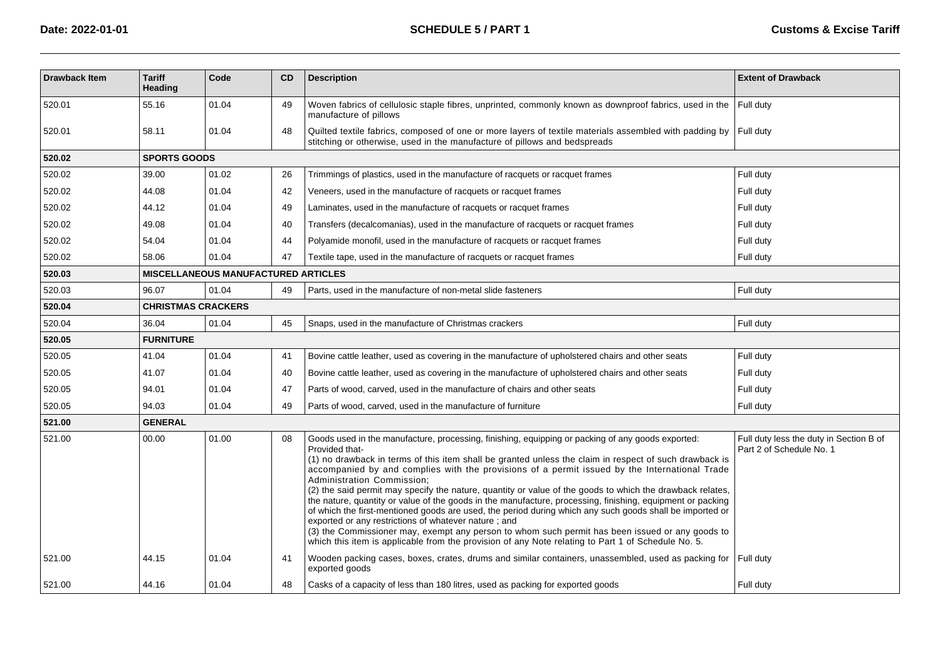| <b>Drawback Item</b> | <b>Tariff</b><br><b>Heading</b> | Code                                       | <b>CD</b> | <b>Description</b>                                                                                                                                                                                                                                                                                                                                                                                                                                                                                                                                                                                                                                                                                                                                                                                                                                                                                                                                                   | <b>Extent of Drawback</b>                                           |  |  |  |
|----------------------|---------------------------------|--------------------------------------------|-----------|----------------------------------------------------------------------------------------------------------------------------------------------------------------------------------------------------------------------------------------------------------------------------------------------------------------------------------------------------------------------------------------------------------------------------------------------------------------------------------------------------------------------------------------------------------------------------------------------------------------------------------------------------------------------------------------------------------------------------------------------------------------------------------------------------------------------------------------------------------------------------------------------------------------------------------------------------------------------|---------------------------------------------------------------------|--|--|--|
| 520.01               | 55.16                           | 01.04                                      | 49        | Woven fabrics of cellulosic staple fibres, unprinted, commonly known as downproof fabrics, used in the<br>manufacture of pillows                                                                                                                                                                                                                                                                                                                                                                                                                                                                                                                                                                                                                                                                                                                                                                                                                                     | Full duty                                                           |  |  |  |
| 520.01               | 58.11                           | 01.04                                      | 48        | Quilted textile fabrics, composed of one or more layers of textile materials assembled with padding by<br>stitching or otherwise, used in the manufacture of pillows and bedspreads                                                                                                                                                                                                                                                                                                                                                                                                                                                                                                                                                                                                                                                                                                                                                                                  | Full duty                                                           |  |  |  |
| 520.02               | <b>SPORTS GOODS</b>             |                                            |           |                                                                                                                                                                                                                                                                                                                                                                                                                                                                                                                                                                                                                                                                                                                                                                                                                                                                                                                                                                      |                                                                     |  |  |  |
| 520.02               | 39.00                           | 01.02                                      | 26        | Trimmings of plastics, used in the manufacture of racquets or racquet frames                                                                                                                                                                                                                                                                                                                                                                                                                                                                                                                                                                                                                                                                                                                                                                                                                                                                                         | Full duty                                                           |  |  |  |
| 520.02               | 44.08                           | 01.04                                      | 42        | Veneers, used in the manufacture of racquets or racquet frames                                                                                                                                                                                                                                                                                                                                                                                                                                                                                                                                                                                                                                                                                                                                                                                                                                                                                                       | Full duty                                                           |  |  |  |
| 520.02               | 44.12                           | 01.04                                      | 49        | Laminates, used in the manufacture of racquets or racquet frames                                                                                                                                                                                                                                                                                                                                                                                                                                                                                                                                                                                                                                                                                                                                                                                                                                                                                                     | Full duty                                                           |  |  |  |
| 520.02               | 49.08                           | 01.04                                      | 40        | Transfers (decalcomanias), used in the manufacture of racquets or racquet frames                                                                                                                                                                                                                                                                                                                                                                                                                                                                                                                                                                                                                                                                                                                                                                                                                                                                                     | Full duty                                                           |  |  |  |
| 520.02               | 54.04                           | 01.04                                      | 44        | Polyamide monofil, used in the manufacture of racquets or racquet frames                                                                                                                                                                                                                                                                                                                                                                                                                                                                                                                                                                                                                                                                                                                                                                                                                                                                                             | Full duty                                                           |  |  |  |
| 520.02               | 58.06                           | 01.04                                      | 47        | Textile tape, used in the manufacture of racquets or racquet frames                                                                                                                                                                                                                                                                                                                                                                                                                                                                                                                                                                                                                                                                                                                                                                                                                                                                                                  | Full duty                                                           |  |  |  |
| 520.03               |                                 | <b>MISCELLANEOUS MANUFACTURED ARTICLES</b> |           |                                                                                                                                                                                                                                                                                                                                                                                                                                                                                                                                                                                                                                                                                                                                                                                                                                                                                                                                                                      |                                                                     |  |  |  |
| 520.03               | 96.07                           | 01.04                                      | 49        | Parts, used in the manufacture of non-metal slide fasteners                                                                                                                                                                                                                                                                                                                                                                                                                                                                                                                                                                                                                                                                                                                                                                                                                                                                                                          | Full duty                                                           |  |  |  |
| 520.04               |                                 | <b>CHRISTMAS CRACKERS</b>                  |           |                                                                                                                                                                                                                                                                                                                                                                                                                                                                                                                                                                                                                                                                                                                                                                                                                                                                                                                                                                      |                                                                     |  |  |  |
| 520.04               | 36.04                           | 01.04                                      | 45        | Snaps, used in the manufacture of Christmas crackers                                                                                                                                                                                                                                                                                                                                                                                                                                                                                                                                                                                                                                                                                                                                                                                                                                                                                                                 | Full duty                                                           |  |  |  |
| 520.05               | <b>FURNITURE</b>                |                                            |           |                                                                                                                                                                                                                                                                                                                                                                                                                                                                                                                                                                                                                                                                                                                                                                                                                                                                                                                                                                      |                                                                     |  |  |  |
| 520.05               | 41.04                           | 01.04                                      | 41        | Bovine cattle leather, used as covering in the manufacture of upholstered chairs and other seats                                                                                                                                                                                                                                                                                                                                                                                                                                                                                                                                                                                                                                                                                                                                                                                                                                                                     | Full duty                                                           |  |  |  |
| 520.05               | 41.07                           | 01.04                                      | 40        | Bovine cattle leather, used as covering in the manufacture of upholstered chairs and other seats                                                                                                                                                                                                                                                                                                                                                                                                                                                                                                                                                                                                                                                                                                                                                                                                                                                                     | Full duty                                                           |  |  |  |
| 520.05               | 94.01                           | 01.04                                      | 47        | Parts of wood, carved, used in the manufacture of chairs and other seats                                                                                                                                                                                                                                                                                                                                                                                                                                                                                                                                                                                                                                                                                                                                                                                                                                                                                             | Full duty                                                           |  |  |  |
| 520.05               | 94.03                           | 01.04                                      | 49        | Parts of wood, carved, used in the manufacture of furniture                                                                                                                                                                                                                                                                                                                                                                                                                                                                                                                                                                                                                                                                                                                                                                                                                                                                                                          | Full duty                                                           |  |  |  |
| 521.00               | <b>GENERAL</b>                  |                                            |           |                                                                                                                                                                                                                                                                                                                                                                                                                                                                                                                                                                                                                                                                                                                                                                                                                                                                                                                                                                      |                                                                     |  |  |  |
| 521.00               | 00.00                           | 01.00                                      | 08        | Goods used in the manufacture, processing, finishing, equipping or packing of any goods exported:<br>Provided that-<br>(1) no drawback in terms of this item shall be granted unless the claim in respect of such drawback is<br>accompanied by and complies with the provisions of a permit issued by the International Trade<br>Administration Commission:<br>(2) the said permit may specify the nature, quantity or value of the goods to which the drawback relates,<br>the nature, quantity or value of the goods in the manufacture, processing, finishing, equipment or packing<br>of which the first-mentioned goods are used, the period during which any such goods shall be imported or<br>exported or any restrictions of whatever nature; and<br>(3) the Commissioner may, exempt any person to whom such permit has been issued or any goods to<br>which this item is applicable from the provision of any Note relating to Part 1 of Schedule No. 5. | Full duty less the duty in Section B of<br>Part 2 of Schedule No. 1 |  |  |  |
| 521.00               | 44.15                           | 01.04                                      | 41        | Wooden packing cases, boxes, crates, drums and similar containers, unassembled, used as packing for<br>exported goods                                                                                                                                                                                                                                                                                                                                                                                                                                                                                                                                                                                                                                                                                                                                                                                                                                                | Full duty                                                           |  |  |  |
| 521.00               | 44.16                           | 01.04                                      | 48        | Casks of a capacity of less than 180 litres, used as packing for exported goods                                                                                                                                                                                                                                                                                                                                                                                                                                                                                                                                                                                                                                                                                                                                                                                                                                                                                      | Full duty                                                           |  |  |  |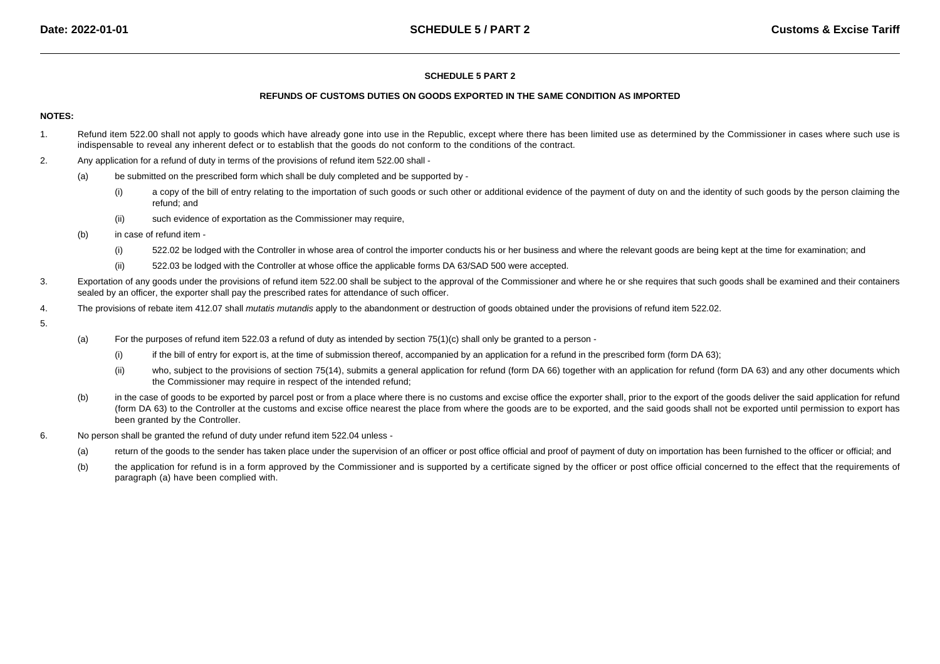#### **REFUNDS OF CUSTOMS DUTIES ON GOODS EXPORTED IN THE SAME CONDITION AS IMPORTED**

#### **NOTES:**

- 1.Refund item 522.00 shall not apply to goods which have already gone into use in the Republic, except where there has been limited use as determined by the Commissioner in cases where such use is indispensable to reveal any inherent defect or to establish that the goods do not conform to the conditions of the contract.
- 2. Any application for a refund of duty in terms of the provisions of refund item 522.00 shall -
	- (a) be submitted on the prescribed form which shall be duly completed and be supported by -
		- (i)a copy of the bill of entry relating to the importation of such goods or such other or additional evidence of the payment of duty on and the identity of such goods by the person claiming the refund; and
		- (ii)such evidence of exportation as the Commissioner may require,
	- (b) in case of refund item -
		- (i)522.02 be lodged with the Controller in whose area of control the importer conducts his or her business and where the relevant goods are being kept at the time for examination; and
		- (ii)522.03 be lodged with the Controller at whose office the applicable forms DA 63/SAD 500 were accepted.
- 3. Exportation of any goods under the provisions of refund item 522.00 shall be subject to the approval of the Commissioner and where he or she requires that such goods shall be examined and their containerssealed by an officer, the exporter shall pay the prescribed rates for attendance of such officer.
- 4.The provisions of rebate item 412.07 shall *mutatis mutandis* apply to the abandonment or destruction of goods obtained under the provisions of refund item 522.02.
- 5.
- (a) For the purposes of refund item 522.03 a refund of duty as intended by section 75(1)(c) shall only be granted to a person -
	- (i)if the bill of entry for export is, at the time of submission thereof, accompanied by an application for a refund in the prescribed form (form DA 63);
	- (ii)who, subject to the provisions of section 75(14), submits a general application for refund (form DA 66) together with an application for refund (form DA 63) and any other documents which the Commissioner may require in respect of the intended refund;
- (b)in the case of goods to be exported by parcel post or from a place where there is no customs and excise office the exporter shall, prior to the export of the goods deliver the said application for refund (form DA 63) to the Controller at the customs and excise office nearest the place from where the goods are to be exported, and the said goods shall not be exported until permission to export has been granted by the Controller.
- 6. No person shall be granted the refund of duty under refund item 522.04 unless -
	- (a)return of the goods to the sender has taken place under the supervision of an officer or post office official and proof of payment of duty on importation has been furnished to the officer or official; and
	- (b) the application for refund is in a form approved by the Commissioner and is supported by a certificate signed by the officer or post office official concerned to the effect that the requirements of paragraph (a) have been complied with.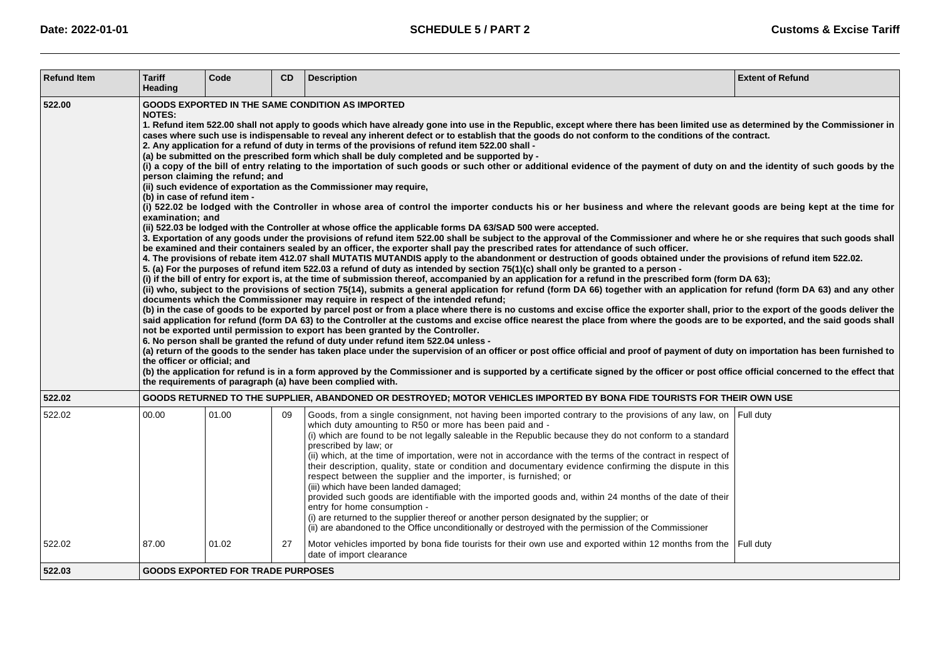| <b>Refund Item</b> | <b>Tariff</b><br>Heading                                                                                                                                                                                                                                                                                                                                                                                                                                                                                                                                                                                                                                                                                                                                                                                                                                                                                                                                                                                                                                                                                                                                                                                                                                                                                                                                                                                                                                                                                                                                                                                                                                                                                                                                                                                                                                                                                                                                                                                                                                                                                                                                                                                                                                                                                                                                                                                                                                                                                                                                                                                                                                                                                                                                                                                                                                                                                                                                                                                                                                                                                                                                                                                                                                                                                  | Code                                     | <b>CD</b> | <b>Description</b>                                                                                                                                                                                                                                                                                                                                                                                                                                                                                                                                                                                                                                                                                                                                                                                                                                                                                                                                                                                   | <b>Extent of Refund</b> |  |  |
|--------------------|-----------------------------------------------------------------------------------------------------------------------------------------------------------------------------------------------------------------------------------------------------------------------------------------------------------------------------------------------------------------------------------------------------------------------------------------------------------------------------------------------------------------------------------------------------------------------------------------------------------------------------------------------------------------------------------------------------------------------------------------------------------------------------------------------------------------------------------------------------------------------------------------------------------------------------------------------------------------------------------------------------------------------------------------------------------------------------------------------------------------------------------------------------------------------------------------------------------------------------------------------------------------------------------------------------------------------------------------------------------------------------------------------------------------------------------------------------------------------------------------------------------------------------------------------------------------------------------------------------------------------------------------------------------------------------------------------------------------------------------------------------------------------------------------------------------------------------------------------------------------------------------------------------------------------------------------------------------------------------------------------------------------------------------------------------------------------------------------------------------------------------------------------------------------------------------------------------------------------------------------------------------------------------------------------------------------------------------------------------------------------------------------------------------------------------------------------------------------------------------------------------------------------------------------------------------------------------------------------------------------------------------------------------------------------------------------------------------------------------------------------------------------------------------------------------------------------------------------------------------------------------------------------------------------------------------------------------------------------------------------------------------------------------------------------------------------------------------------------------------------------------------------------------------------------------------------------------------------------------------------------------------------------------------------------------------|------------------------------------------|-----------|------------------------------------------------------------------------------------------------------------------------------------------------------------------------------------------------------------------------------------------------------------------------------------------------------------------------------------------------------------------------------------------------------------------------------------------------------------------------------------------------------------------------------------------------------------------------------------------------------------------------------------------------------------------------------------------------------------------------------------------------------------------------------------------------------------------------------------------------------------------------------------------------------------------------------------------------------------------------------------------------------|-------------------------|--|--|
| 522.00             | <b>GOODS EXPORTED IN THE SAME CONDITION AS IMPORTED</b><br><b>NOTES:</b><br>1. Refund item 522.00 shall not apply to goods which have already gone into use in the Republic, except where there has been limited use as determined by the Commissioner in<br>cases where such use is indispensable to reveal any inherent defect or to establish that the goods do not conform to the conditions of the contract.<br>2. Any application for a refund of duty in terms of the provisions of refund item 522.00 shall -<br>(a) be submitted on the prescribed form which shall be duly completed and be supported by -<br>(i) a copy of the bill of entry relating to the importation of such goods or such other or additional evidence of the payment of duty on and the identity of such goods by the<br>person claiming the refund; and<br>(ii) such evidence of exportation as the Commissioner may require,<br>(b) in case of refund item -<br>(i) 522.02 be lodged with the Controller in whose area of control the importer conducts his or her business and where the relevant goods are being kept at the time for<br>examination; and<br>(ii) 522.03 be lodged with the Controller at whose office the applicable forms DA 63/SAD 500 were accepted.<br>3. Exportation of any goods under the provisions of refund item 522.00 shall be subject to the approval of the Commissioner and where he or she requires that such goods shall<br>be examined and their containers sealed by an officer, the exporter shall pay the prescribed rates for attendance of such officer.<br>4. The provisions of rebate item 412.07 shall MUTATIS MUTANDIS apply to the abandonment or destruction of goods obtained under the provisions of refund item 522.02.<br>5. (a) For the purposes of refund item 522.03 a refund of duty as intended by section 75(1)(c) shall only be granted to a person -<br>(i) if the bill of entry for export is, at the time of submission thereof, accompanied by an application for a refund in the prescribed form (form DA 63);<br>(ii) who, subject to the provisions of section 75(14), submits a general application for refund (form DA 66) together with an application for refund (form DA 63) and any other<br>documents which the Commissioner may require in respect of the intended refund;<br>(b) in the case of goods to be exported by parcel post or from a place where there is no customs and excise office the exporter shall, prior to the export of the goods deliver the<br>said application for refund (form DA 63) to the Controller at the customs and excise office nearest the place from where the goods are to be exported, and the said goods shall<br>not be exported until permission to export has been granted by the Controller.<br>6. No person shall be granted the refund of duty under refund item 522.04 unless -<br>(a) return of the goods to the sender has taken place under the supervision of an officer or post office official and proof of payment of duty on importation has been furnished to<br>the officer or official; and<br>(b) the application for refund is in a form approved by the Commissioner and is supported by a certificate signed by the officer or post office official concerned to the effect that |                                          |           |                                                                                                                                                                                                                                                                                                                                                                                                                                                                                                                                                                                                                                                                                                                                                                                                                                                                                                                                                                                                      |                         |  |  |
| 522.02             |                                                                                                                                                                                                                                                                                                                                                                                                                                                                                                                                                                                                                                                                                                                                                                                                                                                                                                                                                                                                                                                                                                                                                                                                                                                                                                                                                                                                                                                                                                                                                                                                                                                                                                                                                                                                                                                                                                                                                                                                                                                                                                                                                                                                                                                                                                                                                                                                                                                                                                                                                                                                                                                                                                                                                                                                                                                                                                                                                                                                                                                                                                                                                                                                                                                                                                           |                                          |           | GOODS RETURNED TO THE SUPPLIER, ABANDONED OR DESTROYED; MOTOR VEHICLES IMPORTED BY BONA FIDE TOURISTS FOR THEIR OWN USE                                                                                                                                                                                                                                                                                                                                                                                                                                                                                                                                                                                                                                                                                                                                                                                                                                                                              |                         |  |  |
| 522.02             | 00.00                                                                                                                                                                                                                                                                                                                                                                                                                                                                                                                                                                                                                                                                                                                                                                                                                                                                                                                                                                                                                                                                                                                                                                                                                                                                                                                                                                                                                                                                                                                                                                                                                                                                                                                                                                                                                                                                                                                                                                                                                                                                                                                                                                                                                                                                                                                                                                                                                                                                                                                                                                                                                                                                                                                                                                                                                                                                                                                                                                                                                                                                                                                                                                                                                                                                                                     | 01.00                                    | 09        | Goods, from a single consignment, not having been imported contrary to the provisions of any law, on Full duty<br>which duty amounting to R50 or more has been paid and -<br>(i) which are found to be not legally saleable in the Republic because they do not conform to a standard<br>prescribed by law; or<br>(ii) which, at the time of importation, were not in accordance with the terms of the contract in respect of<br>their description, quality, state or condition and documentary evidence confirming the dispute in this<br>respect between the supplier and the importer, is furnished; or<br>(iii) which have been landed damaged;<br>provided such goods are identifiable with the imported goods and, within 24 months of the date of their<br>entry for home consumption -<br>(i) are returned to the supplier thereof or another person designated by the supplier; or<br>(ii) are abandoned to the Office unconditionally or destroyed with the permission of the Commissioner |                         |  |  |
| 522.02             | 87.00                                                                                                                                                                                                                                                                                                                                                                                                                                                                                                                                                                                                                                                                                                                                                                                                                                                                                                                                                                                                                                                                                                                                                                                                                                                                                                                                                                                                                                                                                                                                                                                                                                                                                                                                                                                                                                                                                                                                                                                                                                                                                                                                                                                                                                                                                                                                                                                                                                                                                                                                                                                                                                                                                                                                                                                                                                                                                                                                                                                                                                                                                                                                                                                                                                                                                                     | 01.02                                    | 27        | Motor vehicles imported by bona fide tourists for their own use and exported within 12 months from the Full duty<br>date of import clearance                                                                                                                                                                                                                                                                                                                                                                                                                                                                                                                                                                                                                                                                                                                                                                                                                                                         |                         |  |  |
| 522.03             |                                                                                                                                                                                                                                                                                                                                                                                                                                                                                                                                                                                                                                                                                                                                                                                                                                                                                                                                                                                                                                                                                                                                                                                                                                                                                                                                                                                                                                                                                                                                                                                                                                                                                                                                                                                                                                                                                                                                                                                                                                                                                                                                                                                                                                                                                                                                                                                                                                                                                                                                                                                                                                                                                                                                                                                                                                                                                                                                                                                                                                                                                                                                                                                                                                                                                                           | <b>GOODS EXPORTED FOR TRADE PURPOSES</b> |           |                                                                                                                                                                                                                                                                                                                                                                                                                                                                                                                                                                                                                                                                                                                                                                                                                                                                                                                                                                                                      |                         |  |  |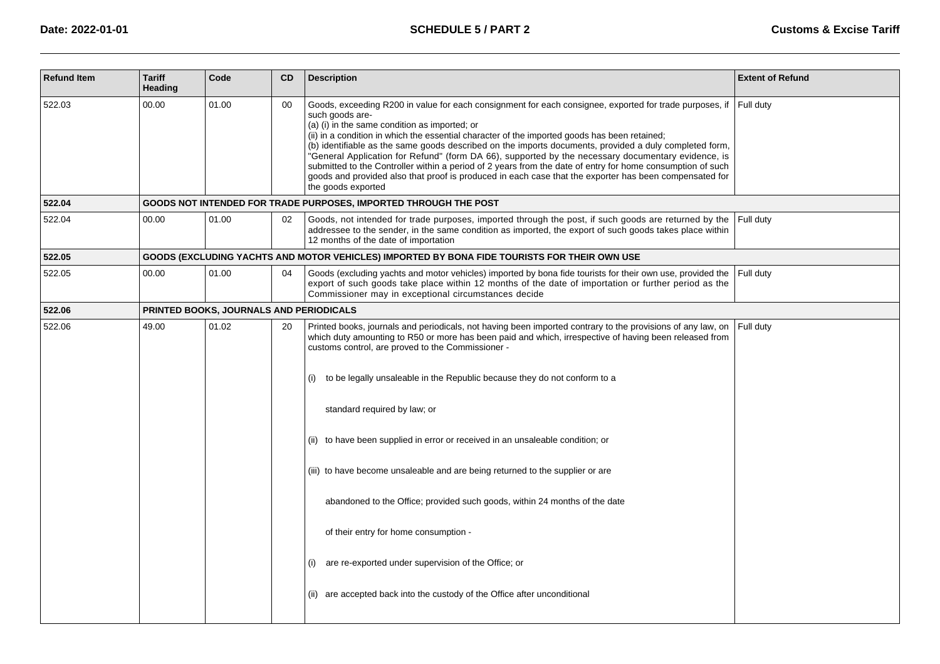| <b>Refund Item</b> | <b>Tariff</b><br>Heading | Code                                    | <b>CD</b> | <b>Description</b>                                                                                                                                                                                                                                                                                                                                                                                                                                                                                                                                                                                                                                                                                                                                                                                                                  | <b>Extent of Refund</b> |
|--------------------|--------------------------|-----------------------------------------|-----------|-------------------------------------------------------------------------------------------------------------------------------------------------------------------------------------------------------------------------------------------------------------------------------------------------------------------------------------------------------------------------------------------------------------------------------------------------------------------------------------------------------------------------------------------------------------------------------------------------------------------------------------------------------------------------------------------------------------------------------------------------------------------------------------------------------------------------------------|-------------------------|
| 522.03             | 00.00                    | 01.00                                   | 00        | Goods, exceeding R200 in value for each consignment for each consignee, exported for trade purposes, if<br>such goods are-<br>(a) (i) in the same condition as imported; or<br>(ii) in a condition in which the essential character of the imported goods has been retained;<br>(b) identifiable as the same goods described on the imports documents, provided a duly completed form,<br>"General Application for Refund" (form DA 66), supported by the necessary documentary evidence, is<br>submitted to the Controller within a period of 2 years from the date of entry for home consumption of such<br>goods and provided also that proof is produced in each case that the exporter has been compensated for<br>the goods exported                                                                                          | Full duty               |
| 522.04             |                          |                                         |           | GOODS NOT INTENDED FOR TRADE PURPOSES, IMPORTED THROUGH THE POST                                                                                                                                                                                                                                                                                                                                                                                                                                                                                                                                                                                                                                                                                                                                                                    |                         |
| 522.04             | 00.00                    | 01.00                                   | 02        | Goods, not intended for trade purposes, imported through the post, if such goods are returned by the<br>addressee to the sender, in the same condition as imported, the export of such goods takes place within<br>12 months of the date of importation                                                                                                                                                                                                                                                                                                                                                                                                                                                                                                                                                                             | Full duty               |
| 522.05             |                          |                                         |           | GOODS (EXCLUDING YACHTS AND MOTOR VEHICLES) IMPORTED BY BONA FIDE TOURISTS FOR THEIR OWN USE                                                                                                                                                                                                                                                                                                                                                                                                                                                                                                                                                                                                                                                                                                                                        |                         |
| 522.05             | 00.00                    | 01.00                                   | 04        | Goods (excluding yachts and motor vehicles) imported by bona fide tourists for their own use, provided the<br>export of such goods take place within 12 months of the date of importation or further period as the<br>Commissioner may in exceptional circumstances decide                                                                                                                                                                                                                                                                                                                                                                                                                                                                                                                                                          | Full duty               |
| 522.06             |                          | PRINTED BOOKS, JOURNALS AND PERIODICALS |           |                                                                                                                                                                                                                                                                                                                                                                                                                                                                                                                                                                                                                                                                                                                                                                                                                                     |                         |
| 522.06             | 49.00                    | 01.02                                   | 20        | Printed books, journals and periodicals, not having been imported contrary to the provisions of any law, on<br>which duty amounting to R50 or more has been paid and which, irrespective of having been released from<br>customs control, are proved to the Commissioner -<br>to be legally unsaleable in the Republic because they do not conform to a<br>(i)<br>standard required by law; or<br>(ii) to have been supplied in error or received in an unsaleable condition; or<br>(iii) to have become unsaleable and are being returned to the supplier or are<br>abandoned to the Office; provided such goods, within 24 months of the date<br>of their entry for home consumption -<br>are re-exported under supervision of the Office; or<br>(i)<br>(ii) are accepted back into the custody of the Office after unconditional | Full duty               |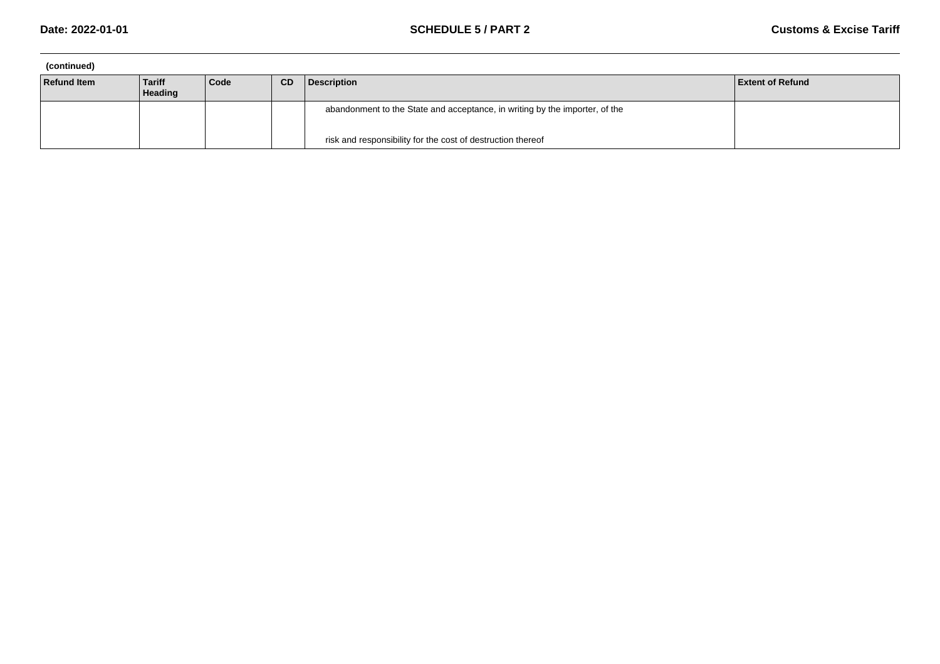| (continued)        |                   |      |           |                                                                             |                         |
|--------------------|-------------------|------|-----------|-----------------------------------------------------------------------------|-------------------------|
| <b>Refund Item</b> | Tariff<br>Heading | Code | <b>CD</b> | Description                                                                 | <b>Extent of Refund</b> |
|                    |                   |      |           | abandonment to the State and acceptance, in writing by the importer, of the |                         |
|                    |                   |      |           | risk and responsibility for the cost of destruction thereof                 |                         |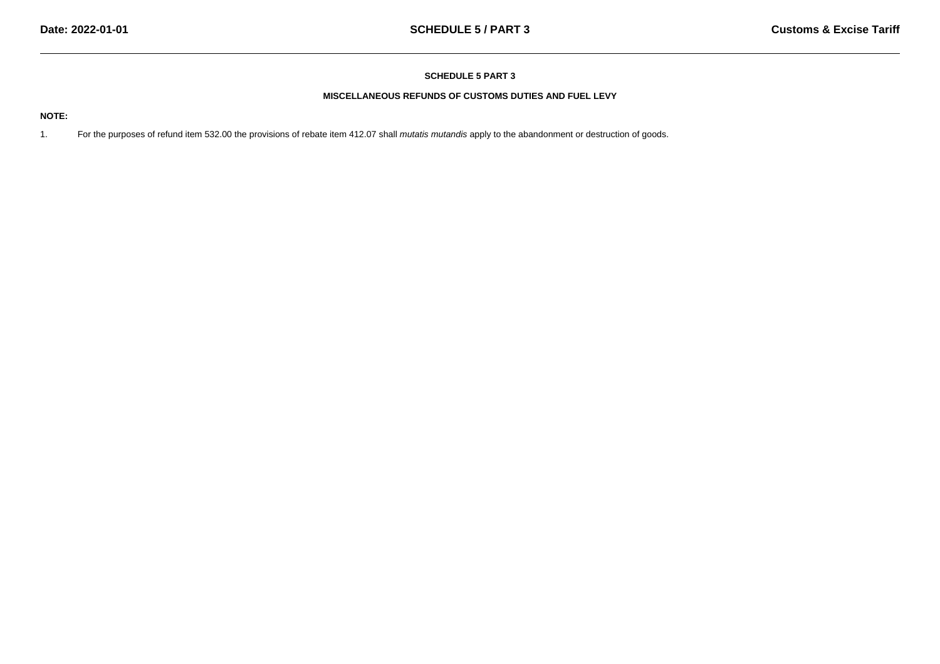# **MISCELLANEOUS REFUNDS OF CUSTOMS DUTIES AND FUEL LEVY**

# **NOTE:**

1.For the purposes of refund item 532.00 the provisions of rebate item 412.07 shall mutatis mutandis apply to the abandonment or destruction of goods.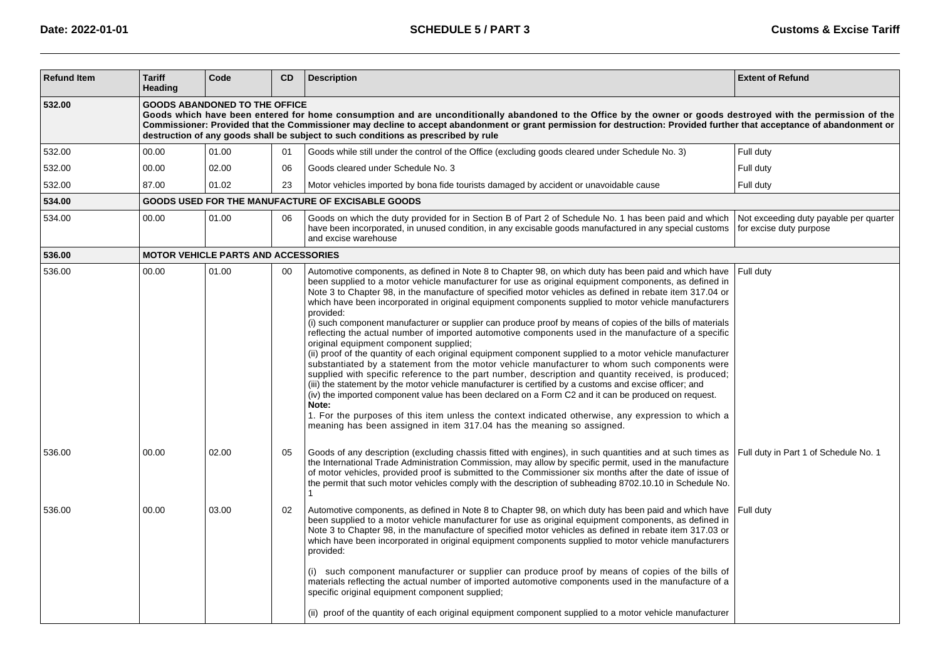| <b>Refund Item</b> | <b>Tariff</b><br>Heading                                                                                                                                                                                                                                                                                                                                                                                                                                              | Code                                       | <b>CD</b> | <b>Description</b>                                                                                                                                                                                                                                                                                                                                                                                                                                                                                                                                                                                                                                                                                                                                                                                                                                                                                                                                                                                                                                                                                                                                                                                                                                                                                                                                                                                                                              | <b>Extent of Refund</b>                                           |  |  |  |  |  |
|--------------------|-----------------------------------------------------------------------------------------------------------------------------------------------------------------------------------------------------------------------------------------------------------------------------------------------------------------------------------------------------------------------------------------------------------------------------------------------------------------------|--------------------------------------------|-----------|-------------------------------------------------------------------------------------------------------------------------------------------------------------------------------------------------------------------------------------------------------------------------------------------------------------------------------------------------------------------------------------------------------------------------------------------------------------------------------------------------------------------------------------------------------------------------------------------------------------------------------------------------------------------------------------------------------------------------------------------------------------------------------------------------------------------------------------------------------------------------------------------------------------------------------------------------------------------------------------------------------------------------------------------------------------------------------------------------------------------------------------------------------------------------------------------------------------------------------------------------------------------------------------------------------------------------------------------------------------------------------------------------------------------------------------------------|-------------------------------------------------------------------|--|--|--|--|--|
| 532.00             | <b>GOODS ABANDONED TO THE OFFICE</b><br>Goods which have been entered for home consumption and are unconditionally abandoned to the Office by the owner or goods destroyed with the permission of the<br>Commissioner: Provided that the Commissioner may decline to accept abandonment or grant permission for destruction: Provided further that acceptance of abandonment or<br>destruction of any goods shall be subject to such conditions as prescribed by rule |                                            |           |                                                                                                                                                                                                                                                                                                                                                                                                                                                                                                                                                                                                                                                                                                                                                                                                                                                                                                                                                                                                                                                                                                                                                                                                                                                                                                                                                                                                                                                 |                                                                   |  |  |  |  |  |
| 532.00             | 00.00                                                                                                                                                                                                                                                                                                                                                                                                                                                                 | 01.00                                      | 01        | Goods while still under the control of the Office (excluding goods cleared under Schedule No. 3)                                                                                                                                                                                                                                                                                                                                                                                                                                                                                                                                                                                                                                                                                                                                                                                                                                                                                                                                                                                                                                                                                                                                                                                                                                                                                                                                                | Full duty                                                         |  |  |  |  |  |
| 532.00             | 00.00                                                                                                                                                                                                                                                                                                                                                                                                                                                                 | 02.00                                      | 06        | Goods cleared under Schedule No. 3                                                                                                                                                                                                                                                                                                                                                                                                                                                                                                                                                                                                                                                                                                                                                                                                                                                                                                                                                                                                                                                                                                                                                                                                                                                                                                                                                                                                              | Full duty                                                         |  |  |  |  |  |
| 532.00             | 87.00                                                                                                                                                                                                                                                                                                                                                                                                                                                                 | 01.02                                      | 23        | Motor vehicles imported by bona fide tourists damaged by accident or unavoidable cause                                                                                                                                                                                                                                                                                                                                                                                                                                                                                                                                                                                                                                                                                                                                                                                                                                                                                                                                                                                                                                                                                                                                                                                                                                                                                                                                                          | Full duty                                                         |  |  |  |  |  |
| 534.00             |                                                                                                                                                                                                                                                                                                                                                                                                                                                                       |                                            |           | GOODS USED FOR THE MANUFACTURE OF EXCISABLE GOODS                                                                                                                                                                                                                                                                                                                                                                                                                                                                                                                                                                                                                                                                                                                                                                                                                                                                                                                                                                                                                                                                                                                                                                                                                                                                                                                                                                                               |                                                                   |  |  |  |  |  |
| 534.00             | 00.00                                                                                                                                                                                                                                                                                                                                                                                                                                                                 | 01.00                                      | 06        | Goods on which the duty provided for in Section B of Part 2 of Schedule No. 1 has been paid and which<br>have been incorporated, in unused condition, in any excisable goods manufactured in any special customs<br>and excise warehouse                                                                                                                                                                                                                                                                                                                                                                                                                                                                                                                                                                                                                                                                                                                                                                                                                                                                                                                                                                                                                                                                                                                                                                                                        | Not exceeding duty payable per quarter<br>for excise duty purpose |  |  |  |  |  |
| 536.00             |                                                                                                                                                                                                                                                                                                                                                                                                                                                                       | <b>MOTOR VEHICLE PARTS AND ACCESSORIES</b> |           |                                                                                                                                                                                                                                                                                                                                                                                                                                                                                                                                                                                                                                                                                                                                                                                                                                                                                                                                                                                                                                                                                                                                                                                                                                                                                                                                                                                                                                                 |                                                                   |  |  |  |  |  |
| 536.00             | 00.00                                                                                                                                                                                                                                                                                                                                                                                                                                                                 | 01.00                                      | 00        | Automotive components, as defined in Note 8 to Chapter 98, on which duty has been paid and which have<br>been supplied to a motor vehicle manufacturer for use as original equipment components, as defined in<br>Note 3 to Chapter 98, in the manufacture of specified motor vehicles as defined in rebate item 317.04 or<br>which have been incorporated in original equipment components supplied to motor vehicle manufacturers<br>provided:<br>(i) such component manufacturer or supplier can produce proof by means of copies of the bills of materials<br>reflecting the actual number of imported automotive components used in the manufacture of a specific<br>original equipment component supplied;<br>(ii) proof of the quantity of each original equipment component supplied to a motor vehicle manufacturer<br>substantiated by a statement from the motor vehicle manufacturer to whom such components were<br>supplied with specific reference to the part number, description and quantity received, is produced;<br>(iii) the statement by the motor vehicle manufacturer is certified by a customs and excise officer; and<br>(iv) the imported component value has been declared on a Form C2 and it can be produced on request.<br>Note:<br>1. For the purposes of this item unless the context indicated otherwise, any expression to which a<br>meaning has been assigned in item 317.04 has the meaning so assigned. | Full duty                                                         |  |  |  |  |  |
| 536.00             | 00.00                                                                                                                                                                                                                                                                                                                                                                                                                                                                 | 02.00                                      | 05        | Goods of any description (excluding chassis fitted with engines), in such quantities and at such times as<br>the International Trade Administration Commission, may allow by specific permit, used in the manufacture<br>of motor vehicles, provided proof is submitted to the Commissioner six months after the date of issue of<br>the permit that such motor vehicles comply with the description of subheading 8702.10.10 in Schedule No.<br>1                                                                                                                                                                                                                                                                                                                                                                                                                                                                                                                                                                                                                                                                                                                                                                                                                                                                                                                                                                                              | Full duty in Part 1 of Schedule No. 1                             |  |  |  |  |  |
| 536.00             | 00.00                                                                                                                                                                                                                                                                                                                                                                                                                                                                 | 03.00                                      | 02        | Automotive components, as defined in Note 8 to Chapter 98, on which duty has been paid and which have<br>been supplied to a motor vehicle manufacturer for use as original equipment components, as defined in<br>Note 3 to Chapter 98, in the manufacture of specified motor vehicles as defined in rebate item 317.03 or<br>which have been incorporated in original equipment components supplied to motor vehicle manufacturers<br>provided:<br>(i) such component manufacturer or supplier can produce proof by means of copies of the bills of<br>materials reflecting the actual number of imported automotive components used in the manufacture of a                                                                                                                                                                                                                                                                                                                                                                                                                                                                                                                                                                                                                                                                                                                                                                                   | Full duty                                                         |  |  |  |  |  |
|                    |                                                                                                                                                                                                                                                                                                                                                                                                                                                                       |                                            |           | specific original equipment component supplied;<br>(ii) proof of the quantity of each original equipment component supplied to a motor vehicle manufacturer                                                                                                                                                                                                                                                                                                                                                                                                                                                                                                                                                                                                                                                                                                                                                                                                                                                                                                                                                                                                                                                                                                                                                                                                                                                                                     |                                                                   |  |  |  |  |  |
|                    |                                                                                                                                                                                                                                                                                                                                                                                                                                                                       |                                            |           |                                                                                                                                                                                                                                                                                                                                                                                                                                                                                                                                                                                                                                                                                                                                                                                                                                                                                                                                                                                                                                                                                                                                                                                                                                                                                                                                                                                                                                                 |                                                                   |  |  |  |  |  |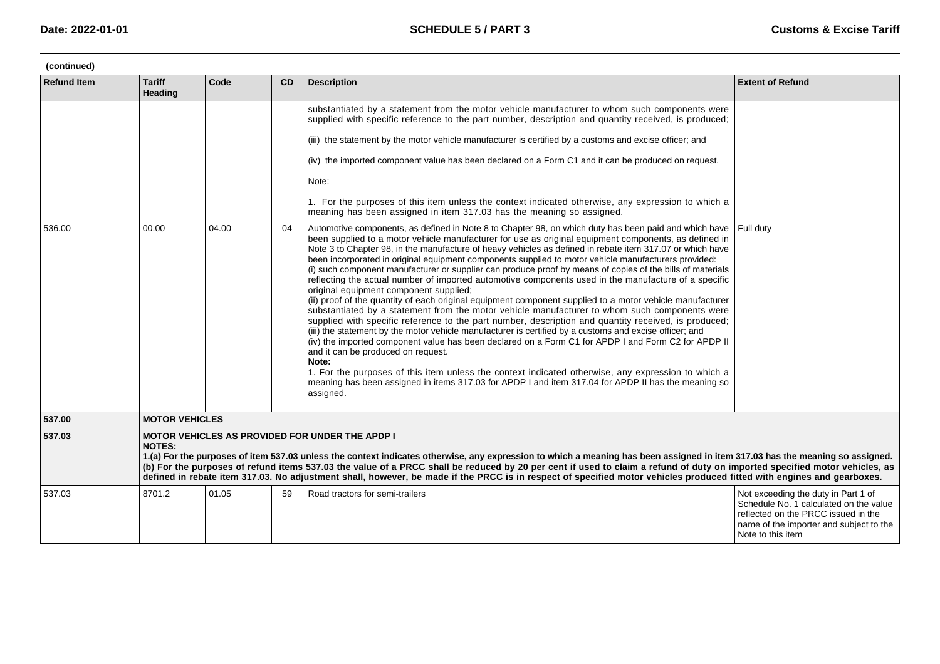| (continued)        |                                 |                                                                                                                                                                                                                                                                                                                                                                                                                                                                                                                                                                                                 |    |                                                                                                                                                                                                                                                                                                                                                                                                                                                                                                                                                                                                                                                                                                                                                                                                                                                                                                                                                                                                                                                                                                                                                                                                                                                                                                                                                                                                                                                                                                                                                                                                                                                                                                                                                                                                                                                                                                                                                                                                                                                                                                                                        |                                                                                                                                                                                      |  |  |  |
|--------------------|---------------------------------|-------------------------------------------------------------------------------------------------------------------------------------------------------------------------------------------------------------------------------------------------------------------------------------------------------------------------------------------------------------------------------------------------------------------------------------------------------------------------------------------------------------------------------------------------------------------------------------------------|----|----------------------------------------------------------------------------------------------------------------------------------------------------------------------------------------------------------------------------------------------------------------------------------------------------------------------------------------------------------------------------------------------------------------------------------------------------------------------------------------------------------------------------------------------------------------------------------------------------------------------------------------------------------------------------------------------------------------------------------------------------------------------------------------------------------------------------------------------------------------------------------------------------------------------------------------------------------------------------------------------------------------------------------------------------------------------------------------------------------------------------------------------------------------------------------------------------------------------------------------------------------------------------------------------------------------------------------------------------------------------------------------------------------------------------------------------------------------------------------------------------------------------------------------------------------------------------------------------------------------------------------------------------------------------------------------------------------------------------------------------------------------------------------------------------------------------------------------------------------------------------------------------------------------------------------------------------------------------------------------------------------------------------------------------------------------------------------------------------------------------------------------|--------------------------------------------------------------------------------------------------------------------------------------------------------------------------------------|--|--|--|
| <b>Refund Item</b> | <b>Tariff</b><br><b>Heading</b> | Code                                                                                                                                                                                                                                                                                                                                                                                                                                                                                                                                                                                            | CD | <b>Description</b>                                                                                                                                                                                                                                                                                                                                                                                                                                                                                                                                                                                                                                                                                                                                                                                                                                                                                                                                                                                                                                                                                                                                                                                                                                                                                                                                                                                                                                                                                                                                                                                                                                                                                                                                                                                                                                                                                                                                                                                                                                                                                                                     | <b>Extent of Refund</b>                                                                                                                                                              |  |  |  |
| 536.00             | 00.00                           | 04.00                                                                                                                                                                                                                                                                                                                                                                                                                                                                                                                                                                                           | 04 | substantiated by a statement from the motor vehicle manufacturer to whom such components were<br>supplied with specific reference to the part number, description and quantity received, is produced;<br>(iii) the statement by the motor vehicle manufacturer is certified by a customs and excise officer; and<br>(iv) the imported component value has been declared on a Form C1 and it can be produced on request.<br>Note:<br>1. For the purposes of this item unless the context indicated otherwise, any expression to which a<br>meaning has been assigned in item 317.03 has the meaning so assigned.<br>Automotive components, as defined in Note 8 to Chapter 98, on which duty has been paid and which have<br>been supplied to a motor vehicle manufacturer for use as original equipment components, as defined in<br>Note 3 to Chapter 98, in the manufacture of heavy vehicles as defined in rebate item 317.07 or which have<br>been incorporated in original equipment components supplied to motor vehicle manufacturers provided:<br>(i) such component manufacturer or supplier can produce proof by means of copies of the bills of materials<br>reflecting the actual number of imported automotive components used in the manufacture of a specific<br>original equipment component supplied;<br>(ii) proof of the quantity of each original equipment component supplied to a motor vehicle manufacturer<br>substantiated by a statement from the motor vehicle manufacturer to whom such components were<br>supplied with specific reference to the part number, description and quantity received, is produced;<br>(iii) the statement by the motor vehicle manufacturer is certified by a customs and excise officer; and<br>(iv) the imported component value has been declared on a Form C1 for APDP I and Form C2 for APDP II<br>and it can be produced on request.<br>Note:<br>1. For the purposes of this item unless the context indicated otherwise, any expression to which a<br>meaning has been assigned in items 317.03 for APDP I and item 317.04 for APDP II has the meaning so<br>assigned. | l Full dutv                                                                                                                                                                          |  |  |  |
| 537.00             | <b>MOTOR VEHICLES</b>           |                                                                                                                                                                                                                                                                                                                                                                                                                                                                                                                                                                                                 |    |                                                                                                                                                                                                                                                                                                                                                                                                                                                                                                                                                                                                                                                                                                                                                                                                                                                                                                                                                                                                                                                                                                                                                                                                                                                                                                                                                                                                                                                                                                                                                                                                                                                                                                                                                                                                                                                                                                                                                                                                                                                                                                                                        |                                                                                                                                                                                      |  |  |  |
| 537.03             | <b>NOTES:</b>                   | <b>MOTOR VEHICLES AS PROVIDED FOR UNDER THE APDP I</b><br>1.(a) For the purposes of item 537.03 unless the context indicates otherwise, any expression to which a meaning has been assigned in item 317.03 has the meaning so assigned.<br>(b) For the purposes of refund items 537.03 the value of a PRCC shall be reduced by 20 per cent if used to claim a refund of duty on imported specified motor vehicles, as<br>defined in rebate item 317.03. No adjustment shall, however, be made if the PRCC is in respect of specified motor vehicles produced fitted with engines and gearboxes. |    |                                                                                                                                                                                                                                                                                                                                                                                                                                                                                                                                                                                                                                                                                                                                                                                                                                                                                                                                                                                                                                                                                                                                                                                                                                                                                                                                                                                                                                                                                                                                                                                                                                                                                                                                                                                                                                                                                                                                                                                                                                                                                                                                        |                                                                                                                                                                                      |  |  |  |
| 537.03             | 8701.2                          | 01.05                                                                                                                                                                                                                                                                                                                                                                                                                                                                                                                                                                                           | 59 | Road tractors for semi-trailers                                                                                                                                                                                                                                                                                                                                                                                                                                                                                                                                                                                                                                                                                                                                                                                                                                                                                                                                                                                                                                                                                                                                                                                                                                                                                                                                                                                                                                                                                                                                                                                                                                                                                                                                                                                                                                                                                                                                                                                                                                                                                                        | Not exceeding the duty in Part 1 of<br>Schedule No. 1 calculated on the value<br>reflected on the PRCC issued in the<br>name of the importer and subject to the<br>Note to this item |  |  |  |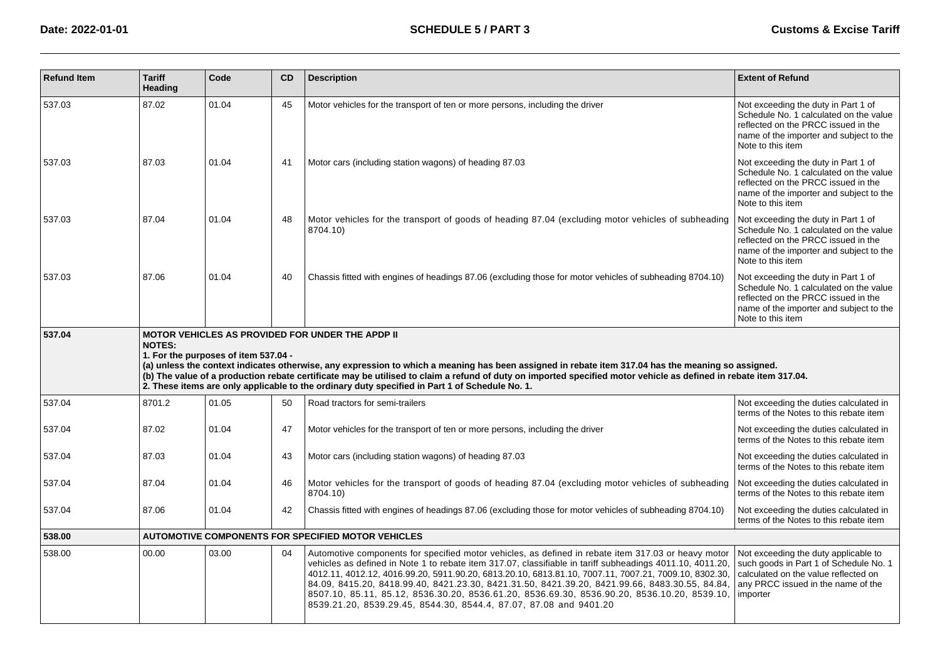| <b>Refund Item</b> | <b>Tariff</b><br>Heading | Code                                 | CD | <b>Description</b>                                                                                                                                                                                                                                                                                                                                                                                                                                                                                                                                                                              | <b>Extent of Refund</b>                                                                                                                                                              |
|--------------------|--------------------------|--------------------------------------|----|-------------------------------------------------------------------------------------------------------------------------------------------------------------------------------------------------------------------------------------------------------------------------------------------------------------------------------------------------------------------------------------------------------------------------------------------------------------------------------------------------------------------------------------------------------------------------------------------------|--------------------------------------------------------------------------------------------------------------------------------------------------------------------------------------|
| 537.03             | 87.02                    | 01.04                                | 45 | Motor vehicles for the transport of ten or more persons, including the driver                                                                                                                                                                                                                                                                                                                                                                                                                                                                                                                   | Not exceeding the duty in Part 1 of<br>Schedule No. 1 calculated on the value<br>reflected on the PRCC issued in the<br>name of the importer and subject to the<br>Note to this item |
| 537.03             | 87.03                    | 01.04                                | 41 | Motor cars (including station wagons) of heading 87.03                                                                                                                                                                                                                                                                                                                                                                                                                                                                                                                                          | Not exceeding the duty in Part 1 of<br>Schedule No. 1 calculated on the value<br>reflected on the PRCC issued in the<br>name of the importer and subject to the<br>Note to this item |
| 537.03             | 87.04                    | 01.04                                | 48 | Motor vehicles for the transport of goods of heading 87.04 (excluding motor vehicles of subheading<br>8704.10)                                                                                                                                                                                                                                                                                                                                                                                                                                                                                  | Not exceeding the duty in Part 1 of<br>Schedule No. 1 calculated on the value<br>reflected on the PRCC issued in the<br>name of the importer and subject to the<br>Note to this item |
| 537.03             | 87.06                    | 01.04                                | 40 | Chassis fitted with engines of headings 87.06 (excluding those for motor vehicles of subheading 8704.10)                                                                                                                                                                                                                                                                                                                                                                                                                                                                                        | Not exceeding the duty in Part 1 of<br>Schedule No. 1 calculated on the value<br>reflected on the PRCC issued in the<br>name of the importer and subject to the<br>Note to this item |
| 537.04             | <b>NOTES:</b>            | 1. For the purposes of item 537.04 - |    | <b>MOTOR VEHICLES AS PROVIDED FOR UNDER THE APDP II</b><br>(a) unless the context indicates otherwise, any expression to which a meaning has been assigned in rebate item 317.04 has the meaning so assigned.<br>(b) The value of a production rebate certificate may be utilised to claim a refund of duty on imported specified motor vehicle as defined in rebate item 317.04.<br>2. These items are only applicable to the ordinary duty specified in Part 1 of Schedule No. 1.                                                                                                             |                                                                                                                                                                                      |
| 537.04             | 8701.2                   | 01.05                                | 50 | Road tractors for semi-trailers                                                                                                                                                                                                                                                                                                                                                                                                                                                                                                                                                                 | Not exceeding the duties calculated in<br>terms of the Notes to this rebate item                                                                                                     |
| 537.04             | 87.02                    | 01.04                                | 47 | Motor vehicles for the transport of ten or more persons, including the driver                                                                                                                                                                                                                                                                                                                                                                                                                                                                                                                   | Not exceeding the duties calculated in<br>terms of the Notes to this rebate item                                                                                                     |
| 537.04             | 87.03                    | 01.04                                | 43 | Motor cars (including station wagons) of heading 87.03                                                                                                                                                                                                                                                                                                                                                                                                                                                                                                                                          | Not exceeding the duties calculated in<br>terms of the Notes to this rebate item                                                                                                     |
| 537.04             | 87.04                    | 01.04                                | 46 | Motor vehicles for the transport of goods of heading 87.04 (excluding motor vehicles of subheading<br>8704.10)                                                                                                                                                                                                                                                                                                                                                                                                                                                                                  | Not exceeding the duties calculated in<br>terms of the Notes to this rebate item                                                                                                     |
| 537.04             | 87.06                    | 01.04                                | 42 | Chassis fitted with engines of headings 87.06 (excluding those for motor vehicles of subheading 8704.10)                                                                                                                                                                                                                                                                                                                                                                                                                                                                                        | Not exceeding the duties calculated in<br>terms of the Notes to this rebate item                                                                                                     |
| 538.00             |                          |                                      |    | <b>AUTOMOTIVE COMPONENTS FOR SPECIFIED MOTOR VEHICLES</b>                                                                                                                                                                                                                                                                                                                                                                                                                                                                                                                                       |                                                                                                                                                                                      |
| 538.00             | 00.00                    | 03.00                                | 04 | Automotive components for specified motor vehicles, as defined in rebate item 317.03 or heavy motor<br>vehicles as defined in Note 1 to rebate item 317.07, classifiable in tariff subheadings 4011.10, 4011.20,<br>4012.11, 4012.12, 4016.99.20, 5911.90.20, 6813.20.10, 6813.81.10, 7007.11, 7007.21, 7009.10, 8302.30,<br>84.09, 8415.20, 8418.99.40, 8421.23.30, 8421.31.50, 8421.39.20, 8421.99.66, 8483.30.55, 84.84,<br>8507.10, 85.11, 85.12, 8536.30.20, 8536.61.20, 8536.69.30, 8536.90.20, 8536.10.20, 8539.10,<br>8539.21.20, 8539.29.45, 8544.30, 8544.4, 87.07, 87.08 and 9401.20 | Not exceeding the duty applicable to<br>such goods in Part 1 of Schedule No. 1<br>calculated on the value reflected on<br>any PRCC issued in the name of the<br>importer             |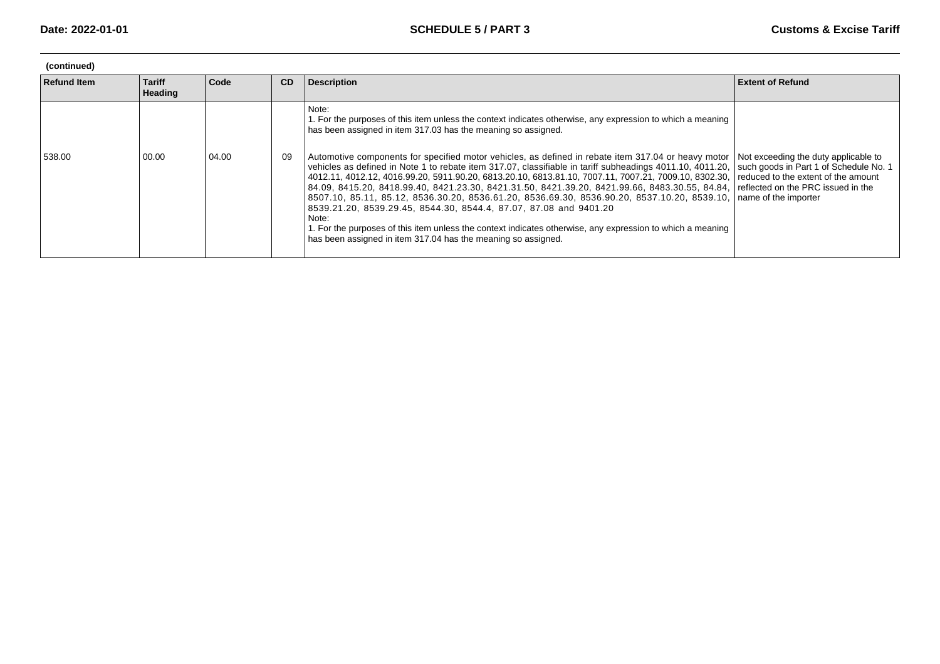| (continued)        |                                 |       |           |                                                                                                                                                                                                                                                                                                                                                                                                                                                                                                                                                                                                                                                                                                                                                                                                           |                                                                                                                                                                                     |  |  |  |
|--------------------|---------------------------------|-------|-----------|-----------------------------------------------------------------------------------------------------------------------------------------------------------------------------------------------------------------------------------------------------------------------------------------------------------------------------------------------------------------------------------------------------------------------------------------------------------------------------------------------------------------------------------------------------------------------------------------------------------------------------------------------------------------------------------------------------------------------------------------------------------------------------------------------------------|-------------------------------------------------------------------------------------------------------------------------------------------------------------------------------------|--|--|--|
| <b>Refund Item</b> | <b>Tariff</b><br><b>Heading</b> | Code  | <b>CD</b> | <b>Description</b>                                                                                                                                                                                                                                                                                                                                                                                                                                                                                                                                                                                                                                                                                                                                                                                        | <b>Extent of Refund</b>                                                                                                                                                             |  |  |  |
|                    |                                 |       |           | Note:<br>1. For the purposes of this item unless the context indicates otherwise, any expression to which a meaning<br>has been assigned in item 317.03 has the meaning so assigned.                                                                                                                                                                                                                                                                                                                                                                                                                                                                                                                                                                                                                      |                                                                                                                                                                                     |  |  |  |
| 538.00             | 00.00                           | 04.00 | 09        | Automotive components for specified motor vehicles, as defined in rebate item 317.04 or heavy motor<br>vehicles as defined in Note 1 to rebate item 317.07, classifiable in tariff subheadings 4011.10, 4011.20,<br>4012.11, 4012.12, 4016.99.20, 5911.90.20, 6813.20.10, 6813.81.10, 7007.11, 7007.21, 7009.10, 8302.30,<br>$\mid$ 84.09, 8415.20, 8418.99.40, 8421.23.30, 8421.31.50, 8421.39.20, 8421.99.66, 8483.30.55, 84.84, $\mid$<br>  8507.10, 85.11, 85.12, 8536.30.20, 8536.61.20, 8536.69.30, 8536.90.20, 8537.10.20, 8539.10,  <br>8539.21.20, 8539.29.45, 8544.30, 8544.4, 87.07, 87.08 and 9401.20<br>Note:<br>1. For the purposes of this item unless the context indicates otherwise, any expression to which a meaning<br>has been assigned in item 317.04 has the meaning so assigned. | Not exceeding the duty applicable to<br>such goods in Part 1 of Schedule No. 1<br>reduced to the extent of the amount<br>reflected on the PRC issued in the<br>name of the importer |  |  |  |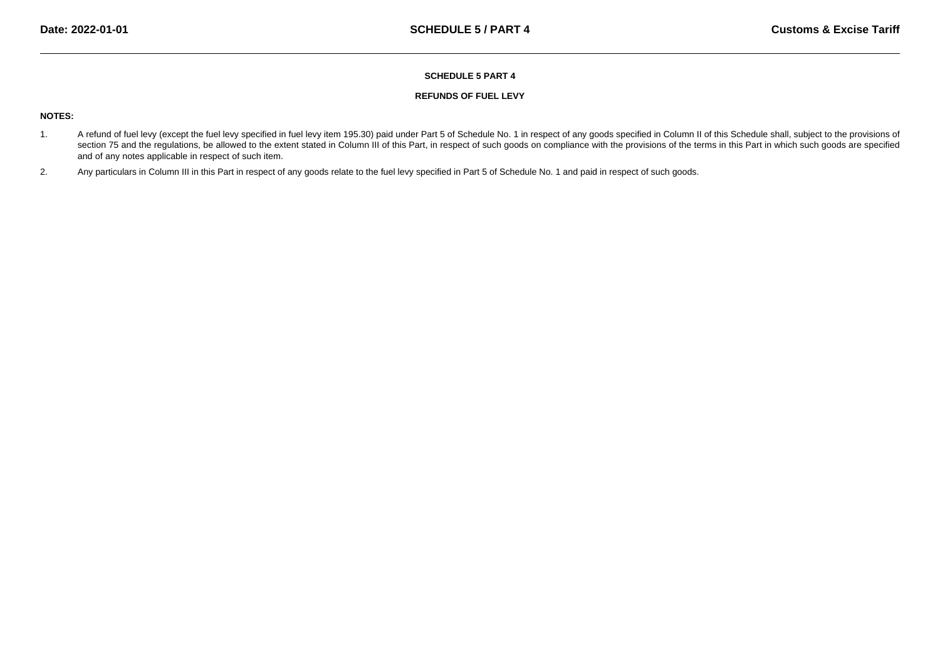### **REFUNDS OF FUEL LEVY**

# **NOTES:**

- 1. A refund of fuel levy (except the fuel levy specified in fuel levy item 195.30) paid under Part 5 of Schedule No. 1 in respect of any goods specified in Column II of this Schedule shall, subject to the provisions of section 75 and the regulations, be allowed to the extent stated in Column III of this Part, in respect of such goods on compliance with the provisions of the terms in this Part in which such goods are specifiedand of any notes applicable in respect of such item.
- 2.Any particulars in Column III in this Part in respect of any goods relate to the fuel levy specified in Part 5 of Schedule No. 1 and paid in respect of such goods.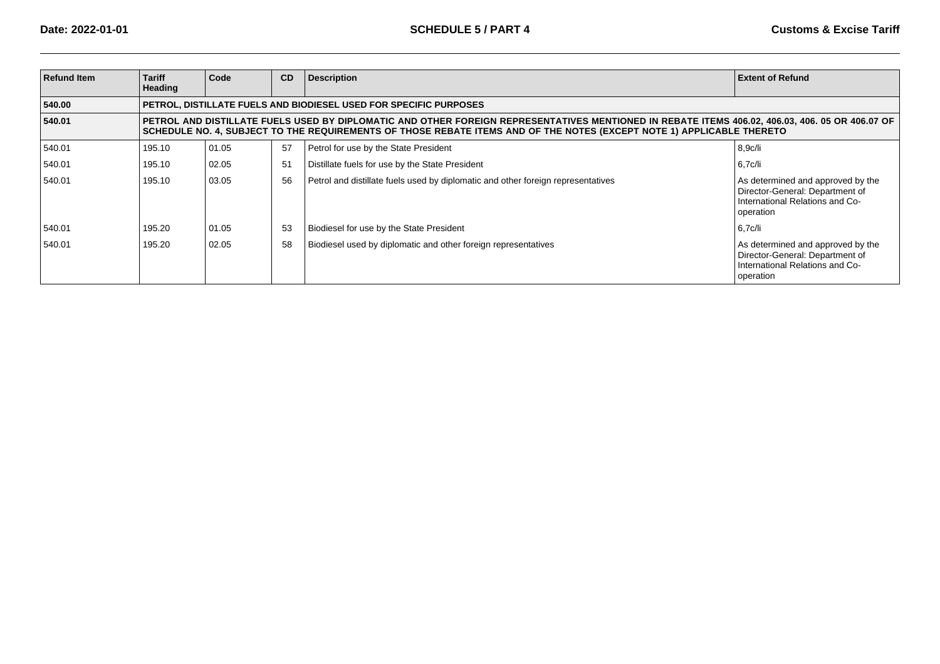| <b>Refund Item</b> | <b>Tariff</b><br><b>Heading</b> | Code                                                                                                                                                                                                                                                                    | CD | <b>Description</b>                                                               | <b>Extent of Refund</b>                                                                                              |  |  |  |  |
|--------------------|---------------------------------|-------------------------------------------------------------------------------------------------------------------------------------------------------------------------------------------------------------------------------------------------------------------------|----|----------------------------------------------------------------------------------|----------------------------------------------------------------------------------------------------------------------|--|--|--|--|
| 540.00             |                                 |                                                                                                                                                                                                                                                                         |    | PETROL, DISTILLATE FUELS AND BIODIESEL USED FOR SPECIFIC PURPOSES                |                                                                                                                      |  |  |  |  |
| 540.01             |                                 | PETROL AND DISTILLATE FUELS USED BY DIPLOMATIC AND OTHER FOREIGN REPRESENTATIVES MENTIONED IN REBATE ITEMS 406.02, 406.03, 406.05 OR 406.07 OF<br>SCHEDULE NO. 4, SUBJECT TO THE REQUIREMENTS OF THOSE REBATE ITEMS AND OF THE NOTES (EXCEPT NOTE 1) APPLICABLE THERETO |    |                                                                                  |                                                                                                                      |  |  |  |  |
| 540.01             | 195.10                          | 01.05                                                                                                                                                                                                                                                                   | 57 | Petrol for use by the State President                                            | 8,9c/li                                                                                                              |  |  |  |  |
| 540.01             | 195.10                          | 02.05                                                                                                                                                                                                                                                                   | 51 | Distillate fuels for use by the State President                                  | 6,7c/li                                                                                                              |  |  |  |  |
| 540.01             | 195.10                          | 03.05                                                                                                                                                                                                                                                                   | 56 | Petrol and distillate fuels used by diplomatic and other foreign representatives | As determined and approved by the<br>Director-General: Department of<br>International Relations and Co-<br>operation |  |  |  |  |
| 540.01             | 195.20                          | 01.05                                                                                                                                                                                                                                                                   | 53 | Biodiesel for use by the State President                                         | 6,7c/li                                                                                                              |  |  |  |  |
| 540.01             | 195.20                          | 02.05                                                                                                                                                                                                                                                                   | 58 | Biodiesel used by diplomatic and other foreign representatives                   | As determined and approved by the<br>Director-General: Department of<br>International Relations and Co-<br>operation |  |  |  |  |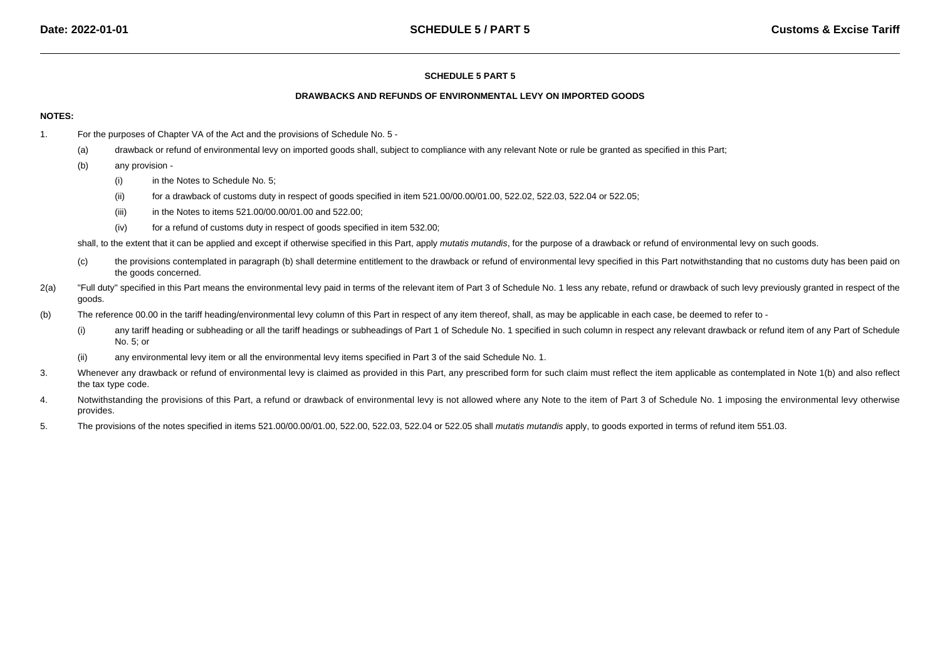#### **DRAWBACKS AND REFUNDS OF ENVIRONMENTAL LEVY ON IMPORTED GOODS**

### **NOTES:**

- 1. For the purposes of Chapter VA of the Act and the provisions of Schedule No. 5 -
	- (a)drawback or refund of environmental levy on imported goods shall, subject to compliance with any relevant Note or rule be granted as specified in this Part;
	- (b) any provision -
		- (i)in the Notes to Schedule No. 5;
		- (ii)for a drawback of customs duty in respect of goods specified in item 521.00/00.00/01.00, 522.02, 522.03, 522.04 or 522.05;
		- (iii)in the Notes to items 521.00/00.00/01.00 and 522.00;
		- (iv)for a refund of customs duty in respect of goods specified in item 532.00;

shall, to the extent that it can be applied and except if otherwise specified in this Part, apply mutatis mutandis, for the purpose of a drawback or refund of environmental levy on such goods.

- (c) the provisions contemplated in paragraph (b) shall determine entitlement to the drawback or refund of environmental levy specified in this Part notwithstanding that no customs duty has been paid onthe goods concerned.
- 2(a)"Full duty" specified in this Part means the environmental levy paid in terms of the relevant item of Part 3 of Schedule No. 1 less any rebate, refund or drawback of such levy previously granted in respect of the goods.
- (b)The reference 00.00 in the tariff heading/environmental levy column of this Part in respect of any item thereof, shall, as may be applicable in each case, be deemed to refer to -
	- (i)any tariff heading or subheading or all the tariff headings or subheadings of Part 1 of Schedule No. 1 specified in such column in respect any relevant drawback or refund item of any Part of Schedule No. 5; or
	- (ii)any environmental levy item or all the environmental levy items specified in Part 3 of the said Schedule No. 1.
- 3.Whenever any drawback or refund of environmental levy is claimed as provided in this Part, any prescribed form for such claim must reflect the item applicable as contemplated in Note 1(b) and also reflect the tax type code.
- 4.Notwithstanding the provisions of this Part, a refund or drawback of environmental levy is not allowed where any Note to the item of Part 3 of Schedule No. 1 imposing the environmental levy otherwise provides.
- 5.The provisions of the notes specified in items 521.00/00.00/01.00, 522.00, 522.03, 522.04 or 522.05 shall mutatis mutandis apply, to goods exported in terms of refund item 551.03.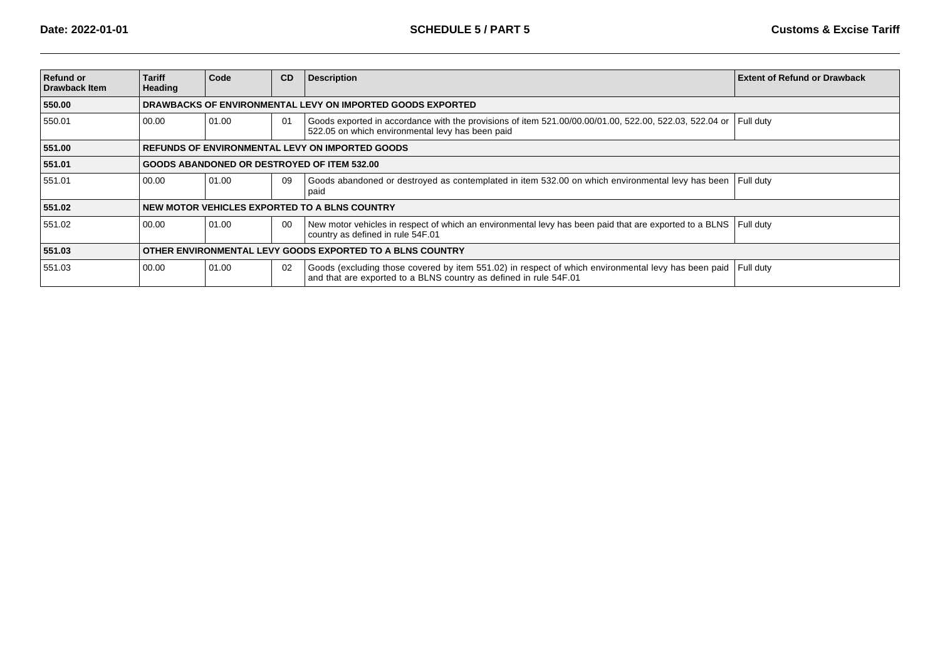| <b>Refund or</b><br><b>Drawback Item</b> | <b>Tariff</b><br>Heading                                  | Code  | CD | <b>Description</b>                                                                                                                                                       | <b>Extent of Refund or Drawback</b> |  |  |
|------------------------------------------|-----------------------------------------------------------|-------|----|--------------------------------------------------------------------------------------------------------------------------------------------------------------------------|-------------------------------------|--|--|
| 550.00                                   |                                                           |       |    | DRAWBACKS OF ENVIRONMENTAL LEVY ON IMPORTED GOODS EXPORTED                                                                                                               |                                     |  |  |
| 550.01                                   | 00.00                                                     | 01.00 | 01 | Goods exported in accordance with the provisions of item 521.00/00.00/01.00, 522.00, 522.03, 522.04 or<br>522.05 on which environmental levy has been paid               | Full duty                           |  |  |
| 551.00                                   | <b>REFUNDS OF ENVIRONMENTAL LEVY ON IMPORTED GOODS</b>    |       |    |                                                                                                                                                                          |                                     |  |  |
| 551.01                                   | <b>GOODS ABANDONED OR DESTROYED OF ITEM 532.00</b>        |       |    |                                                                                                                                                                          |                                     |  |  |
| 551.01                                   | 00.00                                                     | 01.00 | 09 | Goods abandoned or destroyed as contemplated in item 532.00 on which environmental levy has been<br>paid                                                                 | Full duty                           |  |  |
| 551.02                                   |                                                           |       |    | NEW MOTOR VEHICLES EXPORTED TO A BLNS COUNTRY                                                                                                                            |                                     |  |  |
| 551.02                                   | 00.00                                                     | 01.00 | 00 | New motor vehicles in respect of which an environmental levy has been paid that are exported to a BLNS Full duty<br>country as defined in rule 54F.01                    |                                     |  |  |
| 551.03                                   | OTHER ENVIRONMENTAL LEVY GOODS EXPORTED TO A BLNS COUNTRY |       |    |                                                                                                                                                                          |                                     |  |  |
| 551.03                                   | 00.00                                                     | 01.00 | 02 | Goods (excluding those covered by item 551.02) in respect of which environmental levy has been paid<br>and that are exported to a BLNS country as defined in rule 54F.01 | Full duty                           |  |  |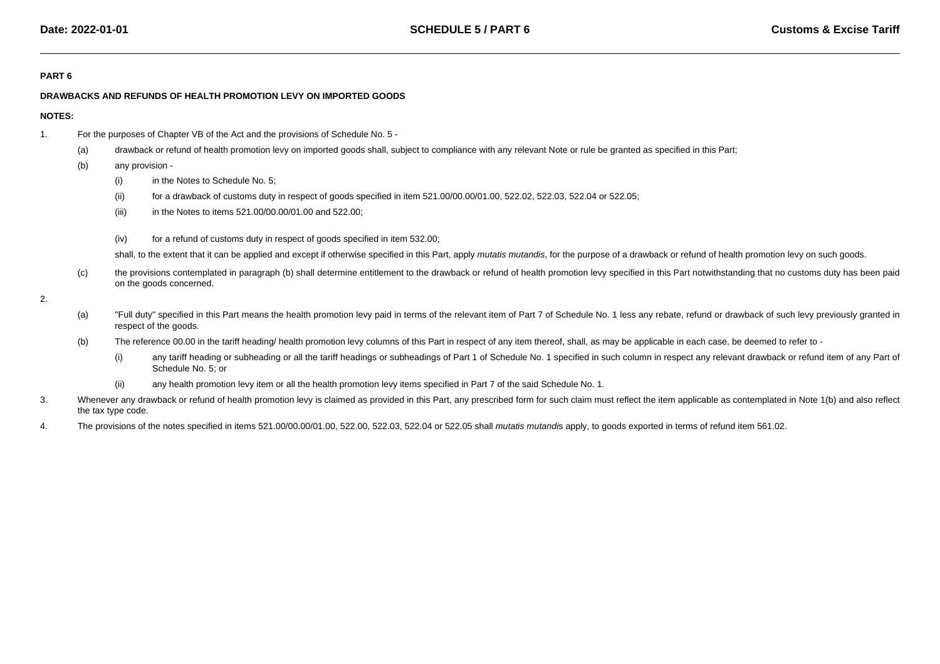### **PART 6**

## **DRAWBACKS AND REFUNDS OF HEALTH PROMOTION LEVY ON IMPORTED GOODS**

## **NOTES:**

- 1. For the purposes of Chapter VB of the Act and the provisions of Schedule No. 5 -
	- (a)drawback or refund of health promotion levy on imported goods shall, subject to compliance with any relevant Note or rule be granted as specified in this Part;
	- (b) any provision -
		- (i)in the Notes to Schedule No. 5;
		- (ii)for a drawback of customs duty in respect of goods specified in item 521.00/00.00/01.00, 522.02, 522.03, 522.04 or 522.05;
		- (iii)in the Notes to items 521.00/00.00/01.00 and 522.00;
		- (iv)for a refund of customs duty in respect of goods specified in item 532.00;

shall, to the extent that it can be applied and except if otherwise specified in this Part, apply *mutatis mutandis*, for the purpose of a drawback or refund of health promotion levy on such goods.

- (c) the provisions contemplated in paragraph (b) shall determine entitlement to the drawback or refund of health promotion levy specified in this Part notwithstanding that no customs duty has been paidon the goods concerned.
- 2.
- (a)"Full duty" specified in this Part means the health promotion levy paid in terms of the relevant item of Part 7 of Schedule No. 1 less any rebate, refund or drawback of such levy previously granted in respect of the goods.
- (b)The reference 00.00 in the tariff heading/ health promotion levy columns of this Part in respect of any item thereof, shall, as may be applicable in each case, be deemed to refer to -
	- (i)any tariff heading or subheading or all the tariff headings or subheadings of Part 1 of Schedule No. 1 specified in such column in respect any relevant drawback or refund item of any Part of Schedule No. 5; or
	- (ii)any health promotion levy item or all the health promotion levy items specified in Part 7 of the said Schedule No. 1.
- 3.Whenever any drawback or refund of health promotion levy is claimed as provided in this Part, any prescribed form for such claim must reflect the item applicable as contemplated in Note 1(b) and also reflect the tax type code.
- 4.The provisions of the notes specified in items 521.00/00.00/01.00, 522.00, 522.03, 522.04 or 522.05 shall mutatis mutandis apply, to goods exported in terms of refund item 561.02.